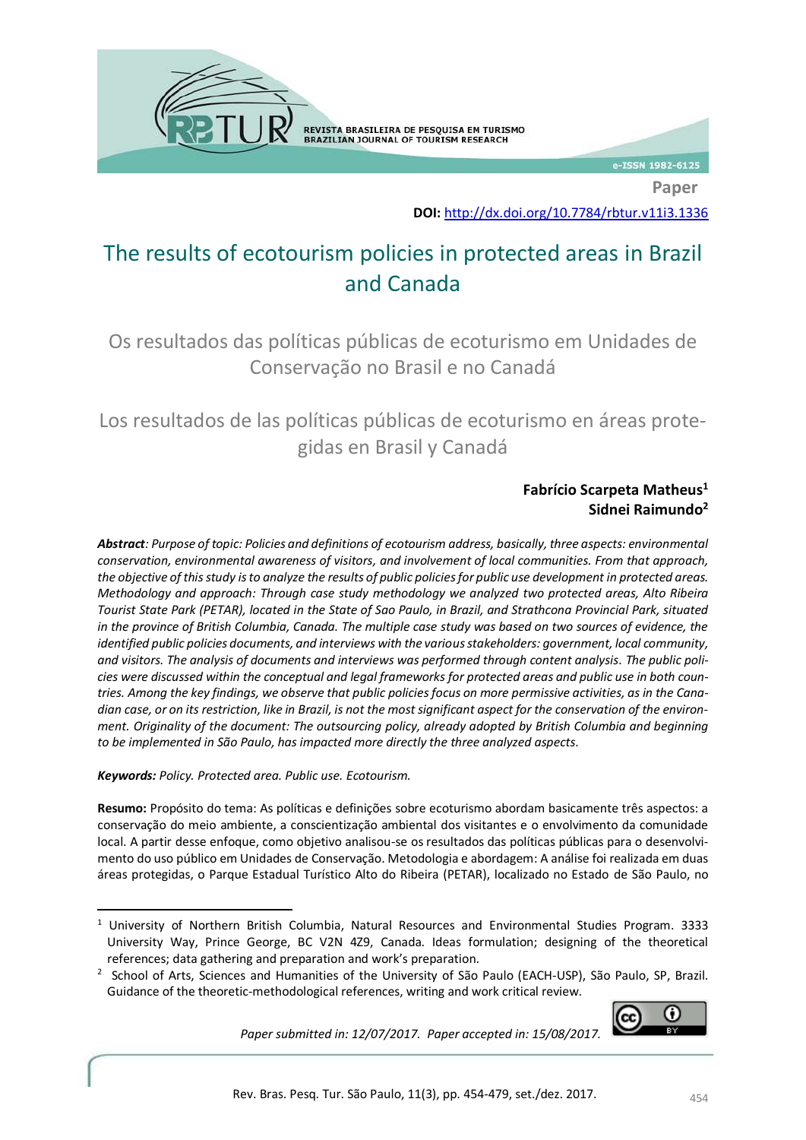

e-ISSN 1982-6125

**Paper**

**DOI:** <http://dx.doi.org/10.7784/rbtur.v11i3.1336>

# The results of ecotourism policies in protected areas in Brazil and Canada

Os resultados das políticas públicas de ecoturismo em Unidades de Conservação no Brasil e no Canadá

## Los resultados de las políticas públicas de ecoturismo en áreas protegidas en Brasil y Canadá

#### **Fabrício Scarpeta Matheus<sup>1</sup> Sidnei Raimundo<sup>2</sup>**

*Abstract: Purpose of topic: Policies and definitions of ecotourism address, basically, three aspects: environmental conservation, environmental awareness of visitors, and involvement of local communities. From that approach, the objective of this study is to analyze the results of public policies for public use development in protected areas. Methodology and approach: Through case study methodology we analyzed two protected areas, Alto Ribeira Tourist State Park (PETAR), located in the State of Sao Paulo, in Brazil, and Strathcona Provincial Park, situated in the province of British Columbia, Canada. The multiple case study was based on two sources of evidence, the identified public policies documents, and interviews with the various stakeholders: government, local community, and visitors. The analysis of documents and interviews was performed through content analysis. The public policies were discussed within the conceptual and legal frameworks for protected areas and public use in both countries. Among the key findings, we observe that public policies focus on more permissive activities, as in the Canadian case, or on its restriction, like in Brazil, is not the most significant aspect for the conservation of the environment. Originality of the document: The outsourcing policy, already adopted by British Columbia and beginning to be implemented in São Paulo, has impacted more directly the three analyzed aspects.* 

*Keywords: Policy. Protected area. Public use. Ecotourism.* 

**Resumo:** Propósito do tema: As políticas e definições sobre ecoturismo abordam basicamente três aspectos: a conservação do meio ambiente, a conscientização ambiental dos visitantes e o envolvimento da comunidade local. A partir desse enfoque, como objetivo analisou-se os resultados das políticas públicas para o desenvolvimento do uso público em Unidades de Conservação. Metodologia e abordagem: A análise foi realizada em duas áreas protegidas, o Parque Estadual Turístico Alto do Ribeira (PETAR), localizado no Estado de São Paulo, no

*Paper submitted in: 12/07/2017. Paper accepted in: 15/08/2017.* 



<sup>&</sup>lt;sup>1</sup> University of Northern British Columbia, Natural Resources and Environmental Studies Program. 3333 University Way, Prince George, BC V2N 4Z9, Canada. Ideas formulation; designing of the theoretical references; data gathering and preparation and work's preparation.

<sup>&</sup>lt;sup>2</sup> School of Arts, Sciences and Humanities of the University of São Paulo (EACH-USP), São Paulo, SP, Brazil. Guidance of the theoretic-methodological references, writing and work critical review.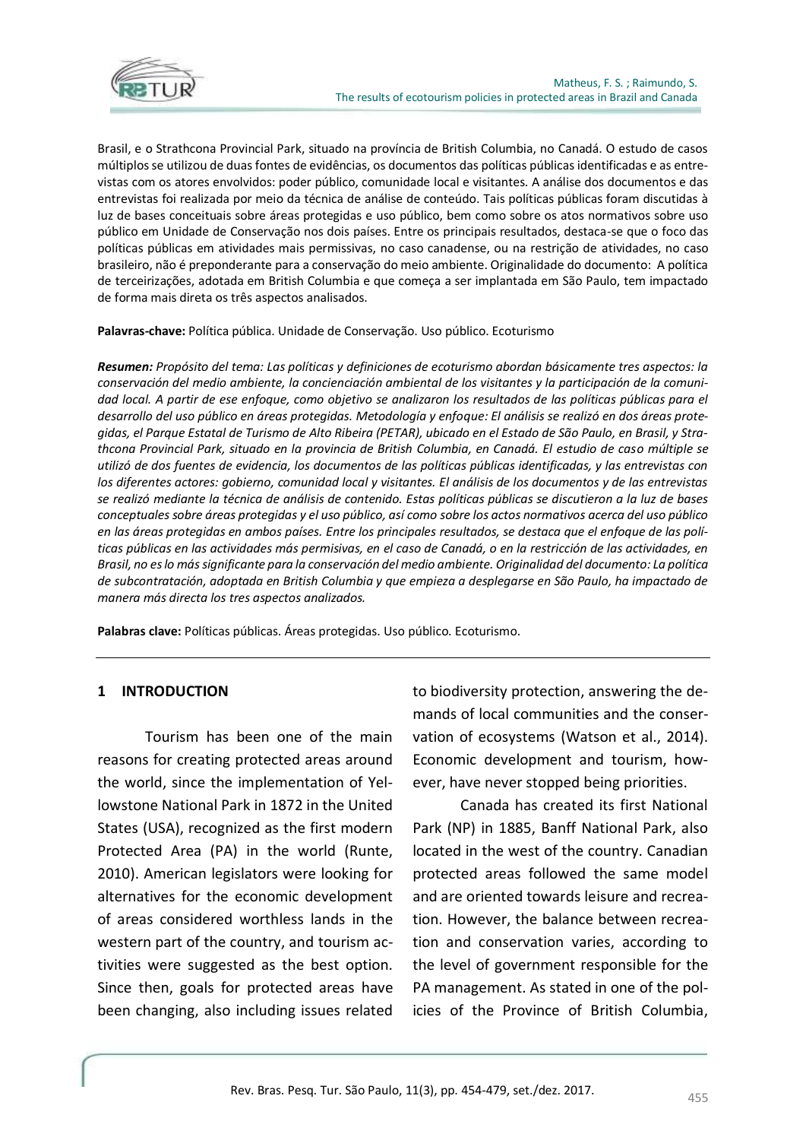

Brasil, e o Strathcona Provincial Park, situado na província de British Columbia, no Canadá. O estudo de casos múltiplos se utilizou de duas fontes de evidências, os documentos das políticas públicas identificadas e as entrevistas com os atores envolvidos: poder público, comunidade local e visitantes. A análise dos documentos e das entrevistas foi realizada por meio da técnica de análise de conteúdo. Tais políticas públicas foram discutidas à luz de bases conceituais sobre áreas protegidas e uso público, bem como sobre os atos normativos sobre uso público em Unidade de Conservação nos dois países. Entre os principais resultados, destaca-se que o foco das políticas públicas em atividades mais permissivas, no caso canadense, ou na restrição de atividades, no caso brasileiro, não é preponderante para a conservação do meio ambiente. Originalidade do documento: A política de terceirizações, adotada em British Columbia e que começa a ser implantada em São Paulo, tem impactado de forma mais direta os três aspectos analisados.

**Palavras-chave:** Política pública. Unidade de Conservação. Uso público. Ecoturismo

*Resumen: Propósito del tema: Las políticas y definiciones de ecoturismo abordan básicamente tres aspectos: la conservación del medio ambiente, la concienciación ambiental de los visitantes y la participación de la comuni*dad local. A partir de ese enfoque, como objetivo se analizaron los resultados de las políticas públicas para el *desarrollo del uso público en áreas protegidas. Metodología y enfoque: El análisis se realizó en dos áreas protegidas, el Parque Estatal de Turismo de Alto Ribeira (PETAR), ubicado en el Estado de São Paulo, en Brasil, y Strathcona Provincial Park, situado en la provincia de British Columbia, en Canadá. El estudio de caso múltiple se utilizó de dos fuentes de evidencia, los documentos de las políticas públicas identificadas, y las entrevistas con los diferentes actores: gobierno, comunidad local y visitantes. El análisis de los documentos y de las entrevistas se realizó mediante la técnica de análisis de contenido. Estas políticas públicas se discutieron a la luz de bases conceptuales sobre áreas protegidas y el uso público, así como sobre los actos normativos acerca del uso público en las áreas protegidas en ambos países. Entre los principales resultados, se destaca que el enfoque de las políticas públicas en las actividades más permisivas, en el caso de Canadá, o en la restricción de las actividades, en Brasil, no es lo más significante para la conservación del medio ambiente. Originalidad del documento: La política de subcontratación, adoptada en British Columbia y que empieza a desplegarse en São Paulo, ha impactado de manera más directa los tres aspectos analizados.*

**Palabras clave:** Políticas públicas. Áreas protegidas. Uso público. Ecoturismo.

#### **1 INTRODUCTION**

Tourism has been one of the main reasons for creating protected areas around the world, since the implementation of Yellowstone National Park in 1872 in the United States (USA), recognized as the first modern Protected Area (PA) in the world (Runte, 2010). American legislators were looking for alternatives for the economic development of areas considered worthless lands in the western part of the country, and tourism activities were suggested as the best option. Since then, goals for protected areas have been changing, also including issues related

to biodiversity protection, answering the demands of local communities and the conservation of ecosystems (Watson et al., 2014). Economic development and tourism, however, have never stopped being priorities.

Canada has created its first National Park (NP) in 1885, Banff National Park, also located in the west of the country. Canadian protected areas followed the same model and are oriented towards leisure and recreation. However, the balance between recreation and conservation varies, according to the level of government responsible for the PA management. As stated in one of the policies of the Province of British Columbia,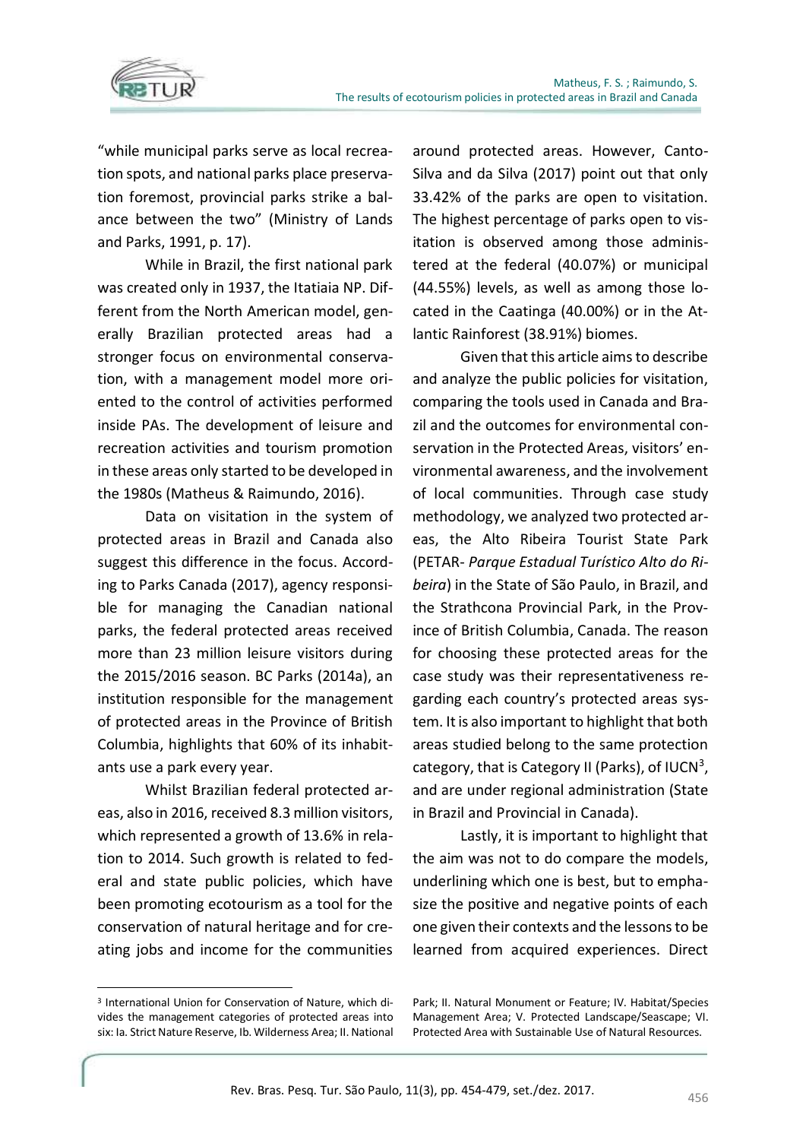

"while municipal parks serve as local recreation spots, and national parks place preservation foremost, provincial parks strike a balance between the two" (Ministry of Lands and Parks, 1991, p. 17).

While in Brazil, the first national park was created only in 1937, the Itatiaia NP. Different from the North American model, generally Brazilian protected areas had a stronger focus on environmental conservation, with a management model more oriented to the control of activities performed inside PAs. The development of leisure and recreation activities and tourism promotion in these areas only started to be developed in the 1980s (Matheus & Raimundo, 2016).

Data on visitation in the system of protected areas in Brazil and Canada also suggest this difference in the focus. According to Parks Canada (2017), agency responsible for managing the Canadian national parks, the federal protected areas received more than 23 million leisure visitors during the 2015/2016 season. BC Parks (2014a), an institution responsible for the management of protected areas in the Province of British Columbia, highlights that 60% of its inhabitants use a park every year.

Whilst Brazilian federal protected areas, also in 2016, received 8.3 million visitors, which represented a growth of 13.6% in relation to 2014. Such growth is related to federal and state public policies, which have been promoting ecotourism as a tool for the conservation of natural heritage and for creating jobs and income for the communities around protected areas. However, Canto-Silva and da Silva (2017) point out that only 33.42% of the parks are open to visitation. The highest percentage of parks open to visitation is observed among those administered at the federal (40.07%) or municipal (44.55%) levels, as well as among those located in the Caatinga (40.00%) or in the Atlantic Rainforest (38.91%) biomes.

Given that this article aimsto describe and analyze the public policies for visitation, comparing the tools used in Canada and Brazil and the outcomes for environmental conservation in the Protected Areas, visitors' environmental awareness, and the involvement of local communities. Through case study methodology, we analyzed two protected areas, the Alto Ribeira Tourist State Park (PETAR- *Parque Estadual Turístico Alto do Ribeira*) in the State of São Paulo, in Brazil, and the Strathcona Provincial Park, in the Province of British Columbia, Canada. The reason for choosing these protected areas for the case study was their representativeness regarding each country's protected areas system. It is also important to highlight that both areas studied belong to the same protection category, that is Category II (Parks), of IUCN<sup>3</sup>, and are under regional administration (State in Brazil and Provincial in Canada).

Lastly, it is important to highlight that the aim was not to do compare the models, underlining which one is best, but to emphasize the positive and negative points of each one given their contexts and the lessons to be learned from acquired experiences. Direct

1

Park; II. Natural Monument or Feature; IV. Habitat/Species Management Area; V. Protected Landscape/Seascape; VI. Protected Area with Sustainable Use of Natural Resources.

<sup>3</sup> International Union for Conservation of Nature, which divides the management categories of protected areas into six: Ia. Strict Nature Reserve, Ib. Wilderness Area; II. National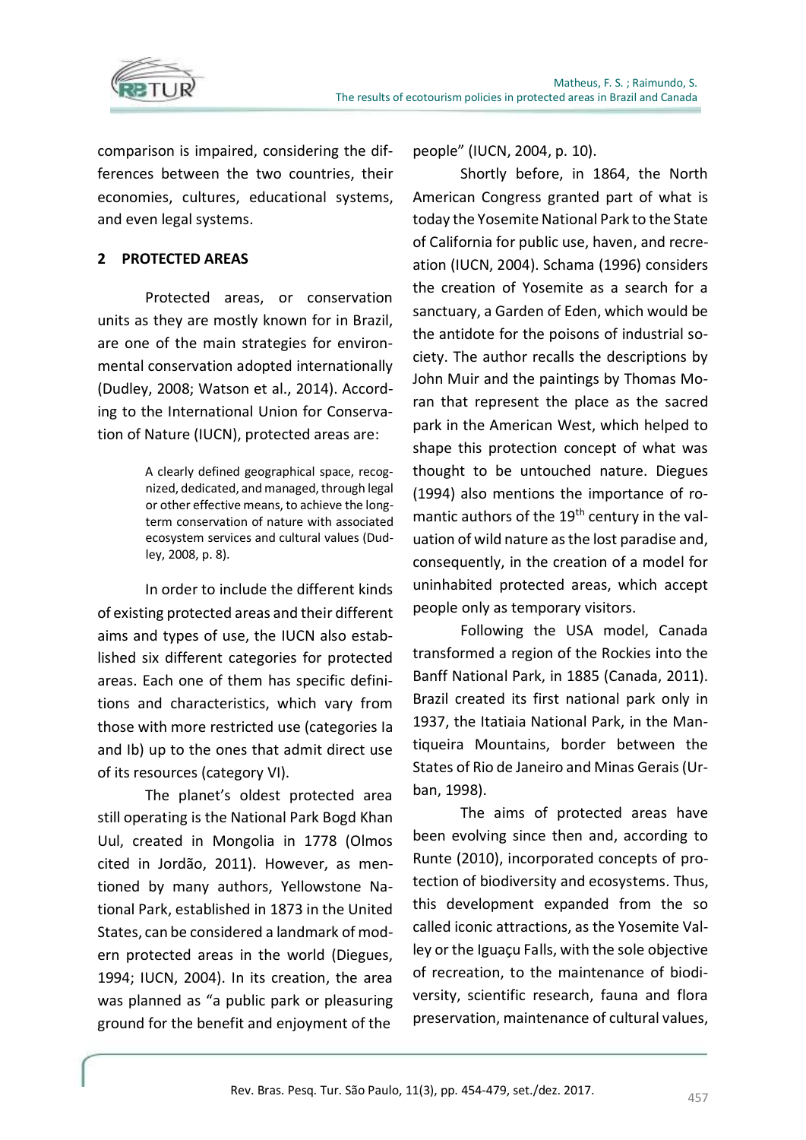

comparison is impaired, considering the differences between the two countries, their economies, cultures, educational systems, and even legal systems.

#### **2 PROTECTED AREAS**

Protected areas, or conservation units as they are mostly known for in Brazil, are one of the main strategies for environmental conservation adopted internationally (Dudley, 2008; Watson et al., 2014). According to the International Union for Conservation of Nature (IUCN), protected areas are:

> A clearly defined geographical space, recognized, dedicated, and managed, through legal or other effective means, to achieve the longterm conservation of nature with associated ecosystem services and cultural values (Dudley, 2008, p. 8).

In order to include the different kinds of existing protected areas and their different aims and types of use, the IUCN also established six different categories for protected areas. Each one of them has specific definitions and characteristics, which vary from those with more restricted use (categories Ia and Ib) up to the ones that admit direct use of its resources (category VI).

The planet's oldest protected area still operating is the National Park Bogd Khan Uul, created in Mongolia in 1778 (Olmos cited in Jordão, 2011). However, as mentioned by many authors, Yellowstone National Park, established in 1873 in the United States, can be considered a landmark of modern protected areas in the world (Diegues, 1994; IUCN, 2004). In its creation, the area was planned as "a public park or pleasuring ground for the benefit and enjoyment of the

people" (IUCN, 2004, p. 10).

Shortly before, in 1864, the North American Congress granted part of what is today the Yosemite National Park to the State of California for public use, haven, and recreation (IUCN, 2004). Schama (1996) considers the creation of Yosemite as a search for a sanctuary, a Garden of Eden, which would be the antidote for the poisons of industrial society. The author recalls the descriptions by John Muir and the paintings by Thomas Moran that represent the place as the sacred park in the American West, which helped to shape this protection concept of what was thought to be untouched nature. Diegues (1994) also mentions the importance of romantic authors of the 19<sup>th</sup> century in the valuation of wild nature as the lost paradise and, consequently, in the creation of a model for uninhabited protected areas, which accept people only as temporary visitors.

Following the USA model, Canada transformed a region of the Rockies into the Banff National Park, in 1885 (Canada, 2011). Brazil created its first national park only in 1937, the Itatiaia National Park, in the Mantiqueira Mountains, border between the States of Rio de Janeiro and Minas Gerais (Urban, 1998).

The aims of protected areas have been evolving since then and, according to Runte (2010), incorporated concepts of protection of biodiversity and ecosystems. Thus, this development expanded from the so called iconic attractions, as the Yosemite Valley or the Iguaçu Falls, with the sole objective of recreation, to the maintenance of biodiversity, scientific research, fauna and flora preservation, maintenance of cultural values,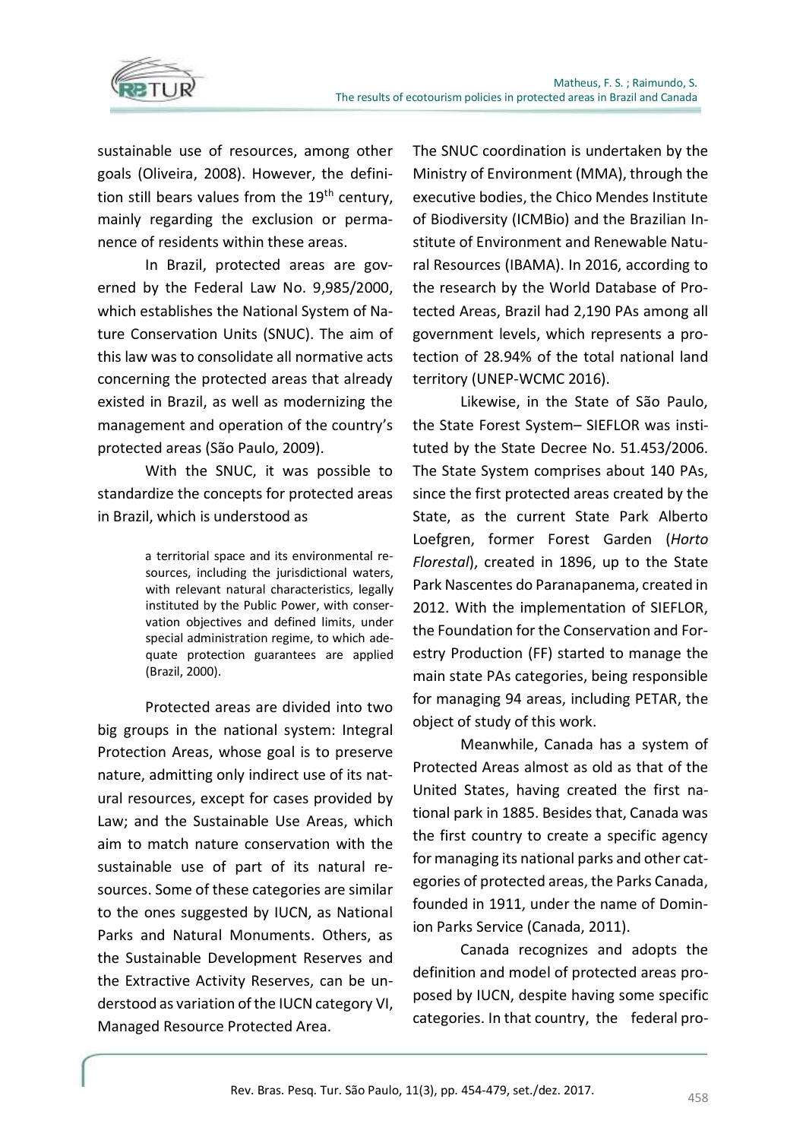



sustainable use of resources, among other goals (Oliveira, 2008). However, the definition still bears values from the 19<sup>th</sup> century, mainly regarding the exclusion or permanence of residents within these areas.

In Brazil, protected areas are governed by the Federal Law No. 9,985/2000, which establishes the National System of Nature Conservation Units (SNUC). The aim of this law was to consolidate all normative acts concerning the protected areas that already existed in Brazil, as well as modernizing the management and operation of the country's protected areas (São Paulo, 2009).

With the SNUC, it was possible to standardize the concepts for protected areas in Brazil, which is understood as

> a territorial space and its environmental resources, including the jurisdictional waters, with relevant natural characteristics, legally instituted by the Public Power, with conservation objectives and defined limits, under special administration regime, to which adequate protection guarantees are applied (Brazil, 2000).

Protected areas are divided into two big groups in the national system: Integral Protection Areas, whose goal is to preserve nature, admitting only indirect use of its natural resources, except for cases provided by Law; and the Sustainable Use Areas, which aim to match nature conservation with the sustainable use of part of its natural resources. Some of these categories are similar to the ones suggested by IUCN, as National Parks and Natural Monuments. Others, as the Sustainable Development Reserves and the Extractive Activity Reserves, can be understood as variation of the IUCN category VI, Managed Resource Protected Area.

The SNUC coordination is undertaken by the Ministry of Environment (MMA), through the executive bodies, the Chico Mendes Institute of Biodiversity (ICMBio) and the Brazilian Institute of Environment and Renewable Natural Resources (IBAMA). In 2016, according to the research by the World Database of Protected Areas, Brazil had 2,190 PAs among all government levels, which represents a protection of 28.94% of the total national land territory (UNEP-WCMC 2016).

Likewise, in the State of São Paulo, the State Forest System– SIEFLOR was instituted by the State Decree No. 51.453/2006. The State System comprises about 140 PAs, since the first protected areas created by the State, as the current State Park Alberto Loefgren, former Forest Garden (*Horto Florestal*), created in 1896, up to the State Park Nascentes do Paranapanema, created in 2012. With the implementation of SIEFLOR, the Foundation for the Conservation and Forestry Production (FF) started to manage the main state PAs categories, being responsible for managing 94 areas, including PETAR, the object of study of this work.

Meanwhile, Canada has a system of Protected Areas almost as old as that of the United States, having created the first national park in 1885. Besides that, Canada was the first country to create a specific agency for managing its national parks and other categories of protected areas, the Parks Canada, founded in 1911, under the name of Dominion Parks Service (Canada, 2011).

Canada recognizes and adopts the definition and model of protected areas proposed by IUCN, despite having some specific categories. In that country, the federal pro-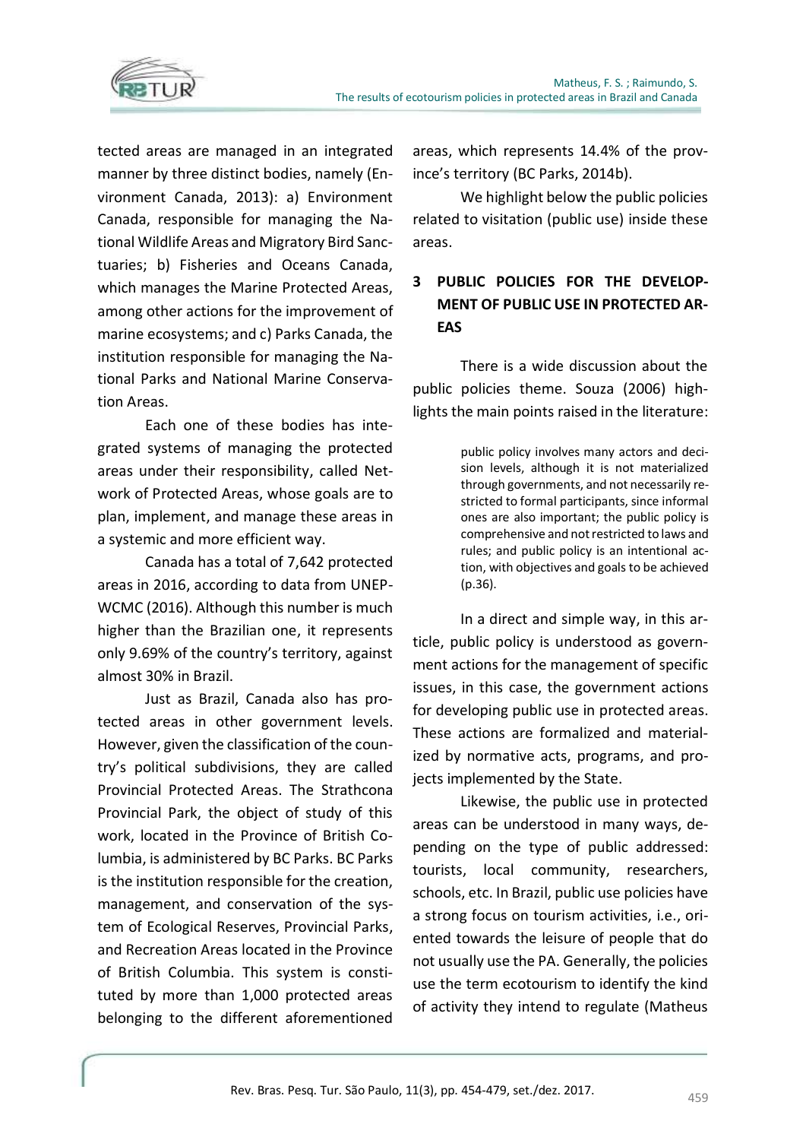

tected areas are managed in an integrated manner by three distinct bodies, namely (Environment Canada, 2013): a) Environment Canada, responsible for managing the National Wildlife Areas and Migratory Bird Sanctuaries; b) Fisheries and Oceans Canada, which manages the Marine Protected Areas, among other actions for the improvement of marine ecosystems; and c) Parks Canada, the institution responsible for managing the National Parks and National Marine Conservation Areas.

Each one of these bodies has integrated systems of managing the protected areas under their responsibility, called Network of Protected Areas, whose goals are to plan, implement, and manage these areas in a systemic and more efficient way.

Canada has a total of 7,642 protected areas in 2016, according to data from UNEP-WCMC (2016). Although this number is much higher than the Brazilian one, it represents only 9.69% of the country's territory, against almost 30% in Brazil.

Just as Brazil, Canada also has protected areas in other government levels. However, given the classification of the country's political subdivisions, they are called Provincial Protected Areas. The Strathcona Provincial Park, the object of study of this work, located in the Province of British Columbia, is administered by BC Parks. BC Parks is the institution responsible for the creation, management, and conservation of the system of Ecological Reserves, Provincial Parks, and Recreation Areas located in the Province of British Columbia. This system is constituted by more than 1,000 protected areas belonging to the different aforementioned

areas, which represents 14.4% of the province's territory (BC Parks, 2014b).

We highlight below the public policies related to visitation (public use) inside these areas.

### **3 PUBLIC POLICIES FOR THE DEVELOP-MENT OF PUBLIC USE IN PROTECTED AR-EAS**

There is a wide discussion about the public policies theme. Souza (2006) highlights the main points raised in the literature:

> public policy involves many actors and decision levels, although it is not materialized through governments, and not necessarily restricted to formal participants, since informal ones are also important; the public policy is comprehensive and not restricted to laws and rules; and public policy is an intentional action, with objectives and goals to be achieved (p.36).

In a direct and simple way, in this article, public policy is understood as government actions for the management of specific issues, in this case, the government actions for developing public use in protected areas. These actions are formalized and materialized by normative acts, programs, and projects implemented by the State.

Likewise, the public use in protected areas can be understood in many ways, depending on the type of public addressed: tourists, local community, researchers, schools, etc. In Brazil, public use policies have a strong focus on tourism activities, i.e., oriented towards the leisure of people that do not usually use the PA. Generally, the policies use the term ecotourism to identify the kind of activity they intend to regulate (Matheus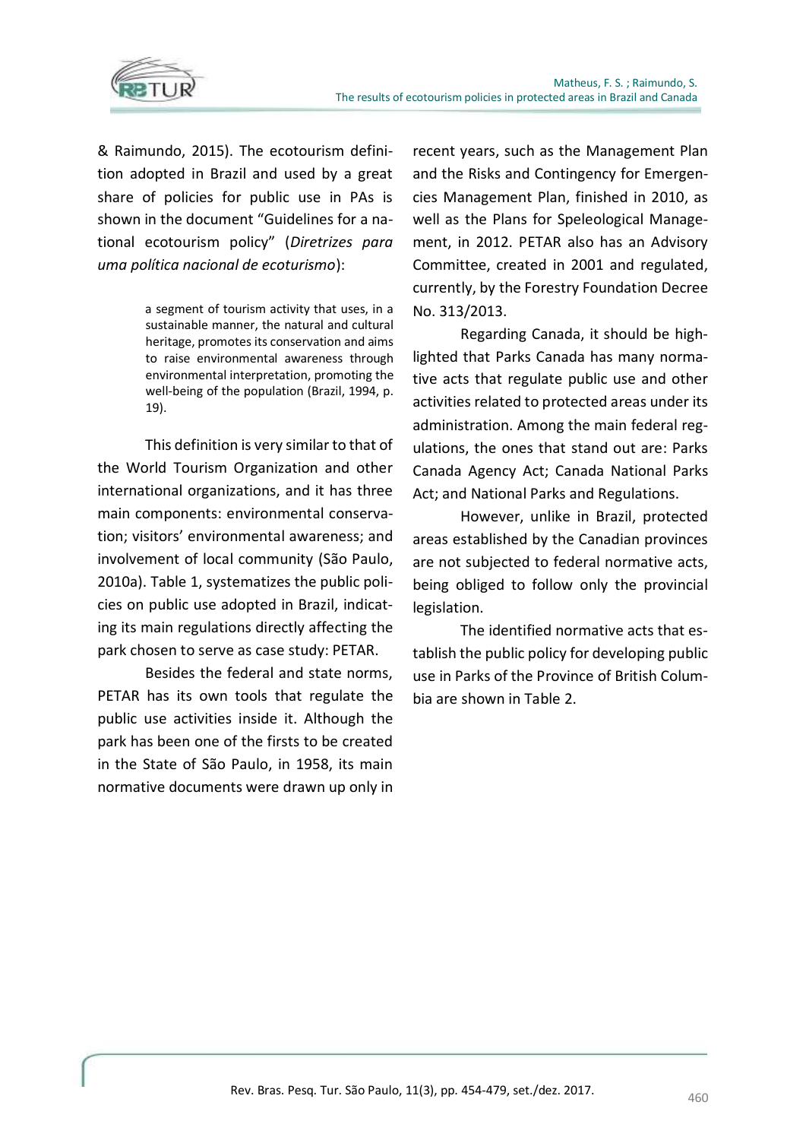

& Raimundo, 2015). The ecotourism definition adopted in Brazil and used by a great share of policies for public use in PAs is shown in the document "Guidelines for a national ecotourism policy" (*Diretrizes para uma política nacional de ecoturismo*):

> a segment of tourism activity that uses, in a sustainable manner, the natural and cultural heritage, promotes its conservation and aims to raise environmental awareness through environmental interpretation, promoting the well-being of the population (Brazil, 1994, p. 19).

This definition is very similar to that of the World Tourism Organization and other international organizations, and it has three main components: environmental conservation; visitors' environmental awareness; and involvement of local community (São Paulo, 2010a). Table 1, systematizes the public policies on public use adopted in Brazil, indicating its main regulations directly affecting the park chosen to serve as case study: PETAR.

Besides the federal and state norms, PETAR has its own tools that regulate the public use activities inside it. Although the park has been one of the firsts to be created in the State of São Paulo, in 1958, its main normative documents were drawn up only in

recent years, such as the Management Plan and the Risks and Contingency for Emergencies Management Plan, finished in 2010, as well as the Plans for Speleological Management, in 2012. PETAR also has an Advisory Committee, created in 2001 and regulated, currently, by the Forestry Foundation Decree No. 313/2013.

Regarding Canada, it should be highlighted that Parks Canada has many normative acts that regulate public use and other activities related to protected areas under its administration. Among the main federal regulations, the ones that stand out are: Parks Canada Agency Act; Canada National Parks Act; and National Parks and Regulations.

However, unlike in Brazil, protected areas established by the Canadian provinces are not subjected to federal normative acts, being obliged to follow only the provincial legislation.

The identified normative acts that establish the public policy for developing public use in Parks of the Province of British Columbia are shown in Table 2.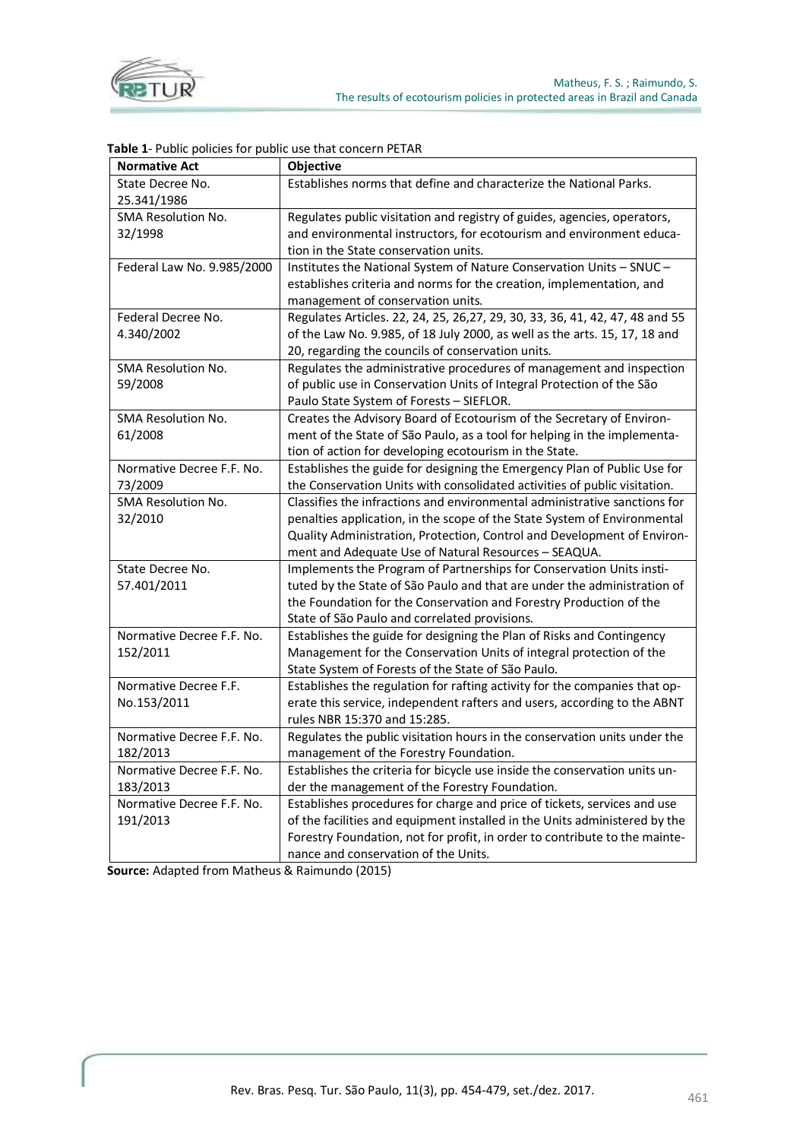

| <b>Normative Act</b>       | Objective                                                                     |
|----------------------------|-------------------------------------------------------------------------------|
| State Decree No.           | Establishes norms that define and characterize the National Parks.            |
| 25.341/1986                |                                                                               |
| SMA Resolution No.         | Regulates public visitation and registry of guides, agencies, operators,      |
| 32/1998                    | and environmental instructors, for ecotourism and environment educa-          |
|                            | tion in the State conservation units.                                         |
| Federal Law No. 9.985/2000 | Institutes the National System of Nature Conservation Units - SNUC -          |
|                            | establishes criteria and norms for the creation, implementation, and          |
|                            | management of conservation units.                                             |
| Federal Decree No.         | Regulates Articles. 22, 24, 25, 26, 27, 29, 30, 33, 36, 41, 42, 47, 48 and 55 |
| 4.340/2002                 | of the Law No. 9.985, of 18 July 2000, as well as the arts. 15, 17, 18 and    |
|                            | 20, regarding the councils of conservation units.                             |
| SMA Resolution No.         | Regulates the administrative procedures of management and inspection          |
| 59/2008                    | of public use in Conservation Units of Integral Protection of the São         |
|                            | Paulo State System of Forests - SIEFLOR.                                      |
| SMA Resolution No.         | Creates the Advisory Board of Ecotourism of the Secretary of Environ-         |
| 61/2008                    | ment of the State of São Paulo, as a tool for helping in the implementa-      |
|                            | tion of action for developing ecotourism in the State.                        |
| Normative Decree F.F. No.  | Establishes the guide for designing the Emergency Plan of Public Use for      |
| 73/2009                    | the Conservation Units with consolidated activities of public visitation.     |
| <b>SMA Resolution No.</b>  | Classifies the infractions and environmental administrative sanctions for     |
| 32/2010                    | penalties application, in the scope of the State System of Environmental      |
|                            | Quality Administration, Protection, Control and Development of Environ-       |
|                            | ment and Adequate Use of Natural Resources - SEAQUA.                          |
| State Decree No.           | Implements the Program of Partnerships for Conservation Units insti-          |
| 57.401/2011                | tuted by the State of São Paulo and that are under the administration of      |
|                            | the Foundation for the Conservation and Forestry Production of the            |
|                            | State of São Paulo and correlated provisions.                                 |
| Normative Decree F.F. No.  | Establishes the guide for designing the Plan of Risks and Contingency         |
| 152/2011                   | Management for the Conservation Units of integral protection of the           |
|                            | State System of Forests of the State of São Paulo.                            |
| Normative Decree F.F.      | Establishes the regulation for rafting activity for the companies that op-    |
| No.153/2011                | erate this service, independent rafters and users, according to the ABNT      |
|                            | rules NBR 15:370 and 15:285.                                                  |
| Normative Decree F.F. No.  | Regulates the public visitation hours in the conservation units under the     |
| 182/2013                   | management of the Forestry Foundation.                                        |
| Normative Decree F.F. No.  | Establishes the criteria for bicycle use inside the conservation units un-    |
| 183/2013                   | der the management of the Forestry Foundation.                                |
| Normative Decree F.F. No.  | Establishes procedures for charge and price of tickets, services and use      |
| 191/2013                   | of the facilities and equipment installed in the Units administered by the    |
|                            | Forestry Foundation, not for profit, in order to contribute to the mainte-    |
|                            | nance and conservation of the Units.                                          |

#### **Table 1**- Public policies for public use that concern PETAR

**Source:** Adapted from Matheus & Raimundo (2015)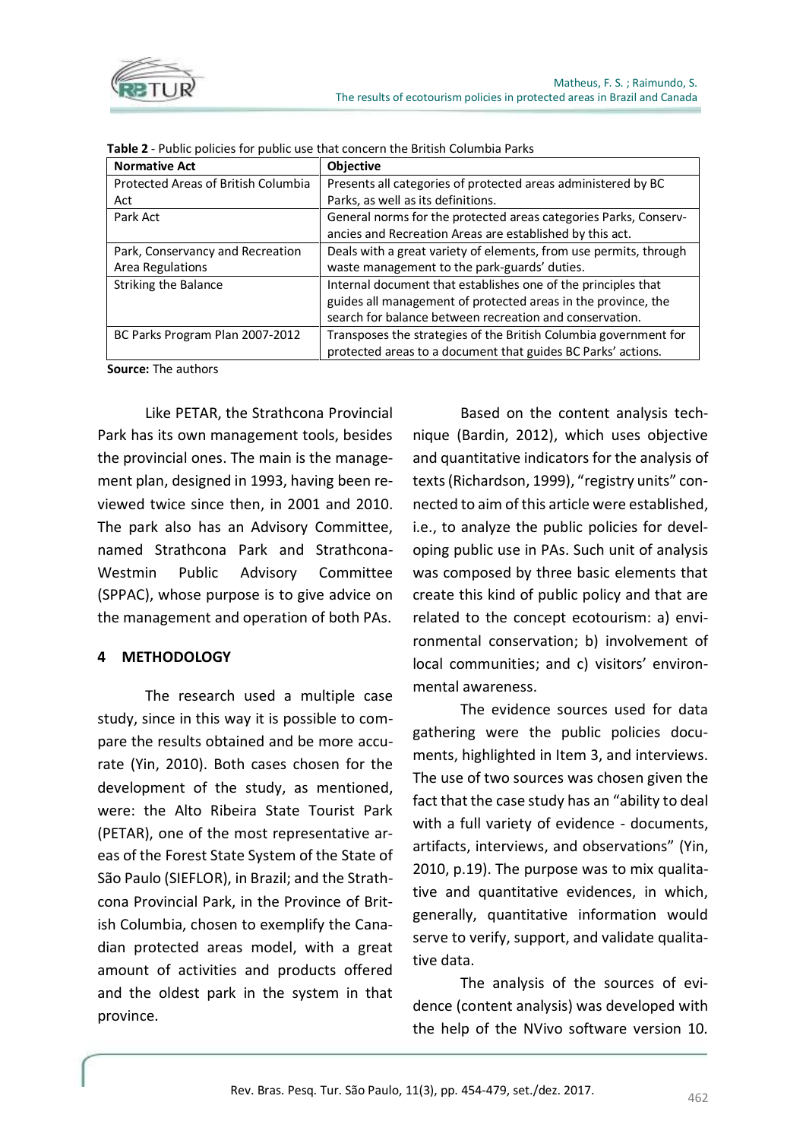

| <b>Normative Act</b>                | <b>Objective</b>                                                  |
|-------------------------------------|-------------------------------------------------------------------|
| Protected Areas of British Columbia | Presents all categories of protected areas administered by BC     |
| Act                                 | Parks, as well as its definitions.                                |
| Park Act                            | General norms for the protected areas categories Parks, Conserv-  |
|                                     | ancies and Recreation Areas are established by this act.          |
| Park, Conservancy and Recreation    | Deals with a great variety of elements, from use permits, through |
| <b>Area Regulations</b>             | waste management to the park-guards' duties.                      |
| <b>Striking the Balance</b>         | Internal document that establishes one of the principles that     |
|                                     | guides all management of protected areas in the province, the     |
|                                     | search for balance between recreation and conservation.           |
| BC Parks Program Plan 2007-2012     | Transposes the strategies of the British Columbia government for  |
|                                     | protected areas to a document that guides BC Parks' actions.      |

**Table 2** - Public policies for public use that concern the British Columbia Parks

**Source:** The authors

Like PETAR, the Strathcona Provincial Park has its own management tools, besides the provincial ones. The main is the management plan, designed in 1993, having been reviewed twice since then, in 2001 and 2010. The park also has an Advisory Committee, named Strathcona Park and Strathcona-Westmin Public Advisory Committee (SPPAC), whose purpose is to give advice on the management and operation of both PAs.

#### **4 METHODOLOGY**

The research used a multiple case study, since in this way it is possible to compare the results obtained and be more accurate (Yin, 2010). Both cases chosen for the development of the study, as mentioned, were: the Alto Ribeira State Tourist Park (PETAR), one of the most representative areas of the Forest State System of the State of São Paulo (SIEFLOR), in Brazil; and the Strathcona Provincial Park, in the Province of British Columbia, chosen to exemplify the Canadian protected areas model, with a great amount of activities and products offered and the oldest park in the system in that province.

Based on the content analysis technique (Bardin, 2012), which uses objective and quantitative indicators for the analysis of texts(Richardson, 1999), "registry units" connected to aim of this article were established, i.e., to analyze the public policies for developing public use in PAs. Such unit of analysis was composed by three basic elements that create this kind of public policy and that are related to the concept ecotourism: a) environmental conservation; b) involvement of local communities; and c) visitors' environmental awareness.

The evidence sources used for data gathering were the public policies documents, highlighted in Item 3, and interviews. The use of two sources was chosen given the fact that the case study has an "ability to deal with a full variety of evidence - documents, artifacts, interviews, and observations" (Yin, 2010, p.19). The purpose was to mix qualitative and quantitative evidences, in which, generally, quantitative information would serve to verify, support, and validate qualitative data.

The analysis of the sources of evidence (content analysis) was developed with the help of the NVivo software version 10.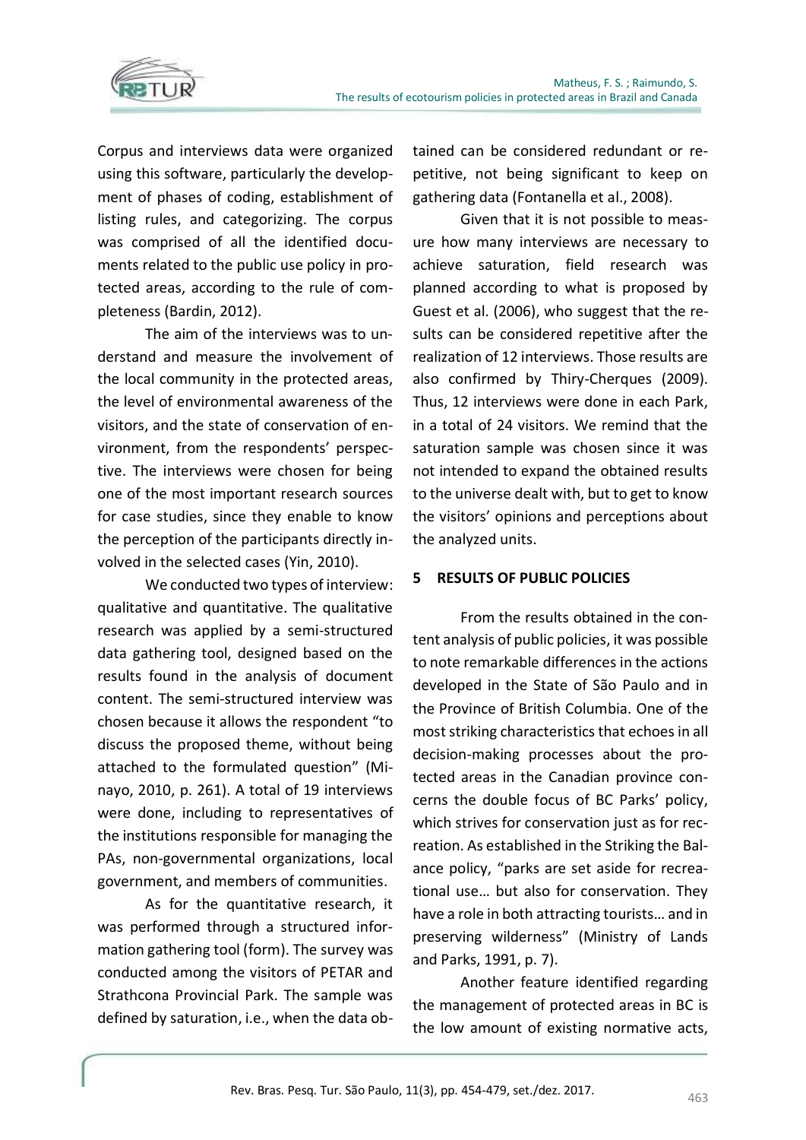

Corpus and interviews data were organized using this software, particularly the development of phases of coding, establishment of listing rules, and categorizing. The corpus was comprised of all the identified documents related to the public use policy in protected areas, according to the rule of completeness (Bardin, 2012).

The aim of the interviews was to understand and measure the involvement of the local community in the protected areas, the level of environmental awareness of the visitors, and the state of conservation of environment, from the respondents' perspective. The interviews were chosen for being one of the most important research sources for case studies, since they enable to know the perception of the participants directly involved in the selected cases (Yin, 2010).

We conducted two types of interview: qualitative and quantitative. The qualitative research was applied by a semi-structured data gathering tool, designed based on the results found in the analysis of document content. The semi-structured interview was chosen because it allows the respondent "to discuss the proposed theme, without being attached to the formulated question" (Minayo, 2010, p. 261). A total of 19 interviews were done, including to representatives of the institutions responsible for managing the PAs, non-governmental organizations, local government, and members of communities.

As for the quantitative research, it was performed through a structured information gathering tool (form). The survey was conducted among the visitors of PETAR and Strathcona Provincial Park. The sample was defined by saturation, i.e., when the data obtained can be considered redundant or repetitive, not being significant to keep on gathering data (Fontanella et al., 2008).

Given that it is not possible to measure how many interviews are necessary to achieve saturation, field research was planned according to what is proposed by Guest et al. (2006), who suggest that the results can be considered repetitive after the realization of 12 interviews. Those results are also confirmed by Thiry-Cherques (2009). Thus, 12 interviews were done in each Park, in a total of 24 visitors. We remind that the saturation sample was chosen since it was not intended to expand the obtained results to the universe dealt with, but to get to know the visitors' opinions and perceptions about the analyzed units.

#### **5 RESULTS OF PUBLIC POLICIES**

From the results obtained in the content analysis of public policies, it was possible to note remarkable differences in the actions developed in the State of São Paulo and in the Province of British Columbia. One of the most striking characteristics that echoes in all decision-making processes about the protected areas in the Canadian province concerns the double focus of BC Parks' policy, which strives for conservation just as for recreation. As established in the Striking the Balance policy, "parks are set aside for recreational use… but also for conservation. They have a role in both attracting tourists… and in preserving wilderness" (Ministry of Lands and Parks, 1991, p. 7).

Another feature identified regarding the management of protected areas in BC is the low amount of existing normative acts,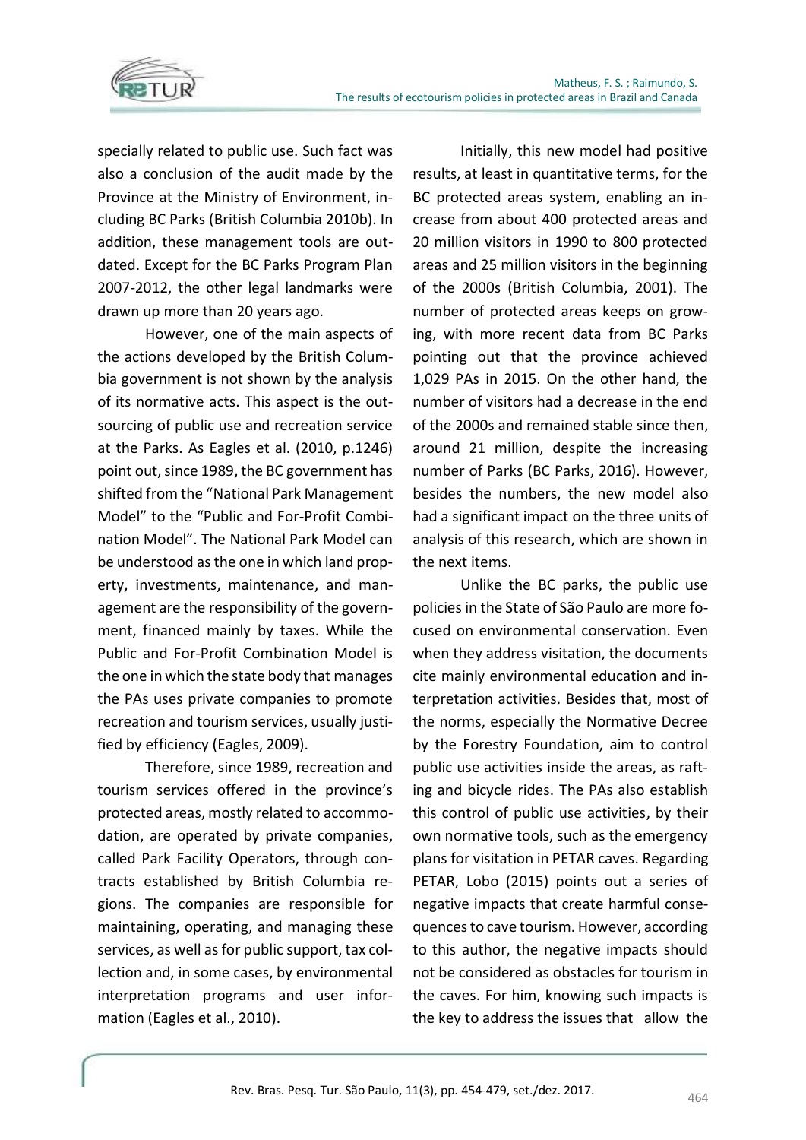



specially related to public use. Such fact was also a conclusion of the audit made by the Province at the Ministry of Environment, including BC Parks (British Columbia 2010b). In addition, these management tools are outdated. Except for the BC Parks Program Plan 2007-2012, the other legal landmarks were drawn up more than 20 years ago.

However, one of the main aspects of the actions developed by the British Columbia government is not shown by the analysis of its normative acts. This aspect is the outsourcing of public use and recreation service at the Parks. As Eagles et al. (2010, p.1246) point out, since 1989, the BC government has shifted from the "National Park Management Model" to the "Public and For-Profit Combination Model". The National Park Model can be understood as the one in which land property, investments, maintenance, and management are the responsibility of the government, financed mainly by taxes. While the Public and For-Profit Combination Model is the one in which the state body that manages the PAs uses private companies to promote recreation and tourism services, usually justified by efficiency (Eagles, 2009).

Therefore, since 1989, recreation and tourism services offered in the province's protected areas, mostly related to accommodation, are operated by private companies, called Park Facility Operators, through contracts established by British Columbia regions. The companies are responsible for maintaining, operating, and managing these services, as well as for public support, tax collection and, in some cases, by environmental interpretation programs and user information (Eagles et al., 2010).

Initially, this new model had positive results, at least in quantitative terms, for the BC protected areas system, enabling an increase from about 400 protected areas and 20 million visitors in 1990 to 800 protected areas and 25 million visitors in the beginning of the 2000s (British Columbia, 2001). The number of protected areas keeps on growing, with more recent data from BC Parks pointing out that the province achieved 1,029 PAs in 2015. On the other hand, the number of visitors had a decrease in the end of the 2000s and remained stable since then, around 21 million, despite the increasing number of Parks (BC Parks, 2016). However, besides the numbers, the new model also had a significant impact on the three units of analysis of this research, which are shown in the next items.

Unlike the BC parks, the public use policies in the State of São Paulo are more focused on environmental conservation. Even when they address visitation, the documents cite mainly environmental education and interpretation activities. Besides that, most of the norms, especially the Normative Decree by the Forestry Foundation, aim to control public use activities inside the areas, as rafting and bicycle rides. The PAs also establish this control of public use activities, by their own normative tools, such as the emergency plans for visitation in PETAR caves. Regarding PETAR, Lobo (2015) points out a series of negative impacts that create harmful consequencesto cave tourism. However, according to this author, the negative impacts should not be considered as obstacles for tourism in the caves. For him, knowing such impacts is the key to address the issues that allow the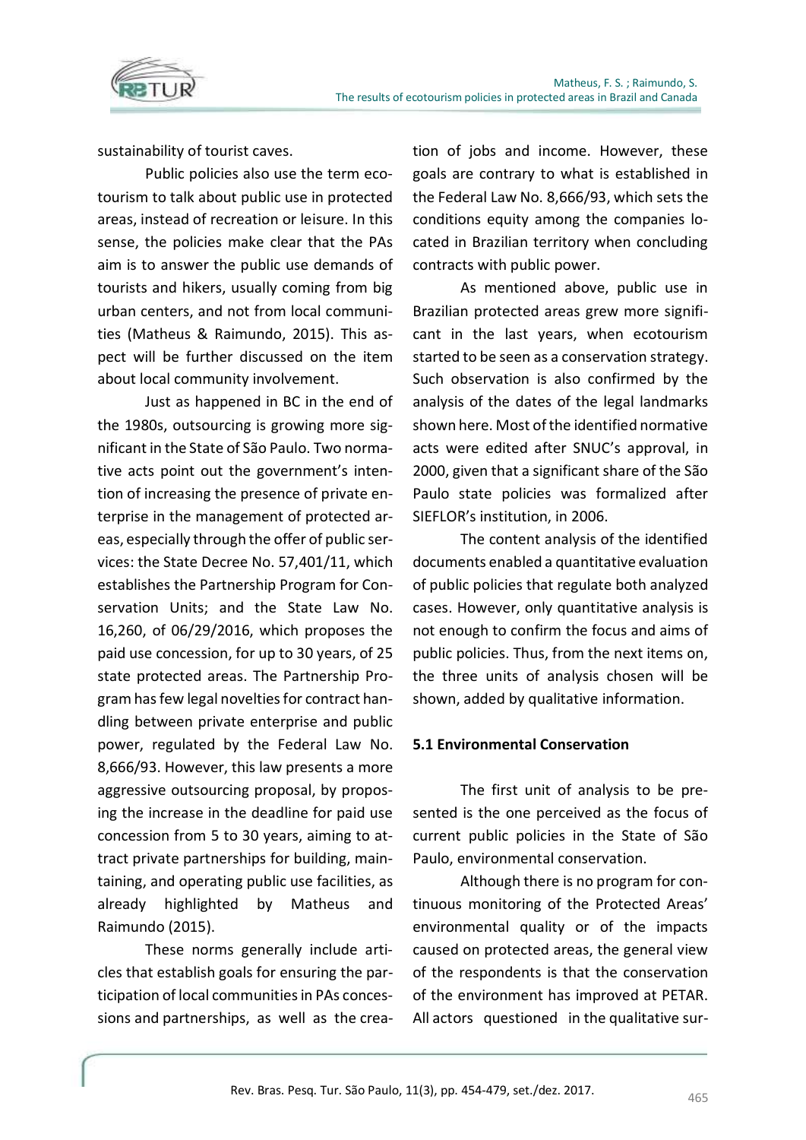

sustainability of tourist caves.

Public policies also use the term ecotourism to talk about public use in protected areas, instead of recreation or leisure. In this sense, the policies make clear that the PAs aim is to answer the public use demands of tourists and hikers, usually coming from big urban centers, and not from local communities (Matheus & Raimundo, 2015). This aspect will be further discussed on the item about local community involvement.

Just as happened in BC in the end of the 1980s, outsourcing is growing more significant in the State of São Paulo. Two normative acts point out the government's intention of increasing the presence of private enterprise in the management of protected areas, especially through the offer of public services: the State Decree No. 57,401/11, which establishes the Partnership Program for Conservation Units; and the State Law No. 16,260, of 06/29/2016, which proposes the paid use concession, for up to 30 years, of 25 state protected areas. The Partnership Program has few legal novelties for contract handling between private enterprise and public power, regulated by the Federal Law No. 8,666/93. However, this law presents a more aggressive outsourcing proposal, by proposing the increase in the deadline for paid use concession from 5 to 30 years, aiming to attract private partnerships for building, maintaining, and operating public use facilities, as already highlighted by Matheus and Raimundo (2015).

These norms generally include articles that establish goals for ensuring the participation of local communities in PAs concessions and partnerships, as well as the creation of jobs and income. However, these goals are contrary to what is established in the Federal Law No. 8,666/93, which sets the conditions equity among the companies located in Brazilian territory when concluding contracts with public power.

As mentioned above, public use in Brazilian protected areas grew more significant in the last years, when ecotourism started to be seen as a conservation strategy. Such observation is also confirmed by the analysis of the dates of the legal landmarks shown here. Most of the identified normative acts were edited after SNUC's approval, in 2000, given that a significant share of the São Paulo state policies was formalized after SIEFLOR's institution, in 2006.

The content analysis of the identified documents enabled a quantitative evaluation of public policies that regulate both analyzed cases. However, only quantitative analysis is not enough to confirm the focus and aims of public policies. Thus, from the next items on, the three units of analysis chosen will be shown, added by qualitative information.

#### **5.1 Environmental Conservation**

The first unit of analysis to be presented is the one perceived as the focus of current public policies in the State of São Paulo, environmental conservation.

Although there is no program for continuous monitoring of the Protected Areas' environmental quality or of the impacts caused on protected areas, the general view of the respondents is that the conservation of the environment has improved at PETAR. All actors questioned in the qualitative sur-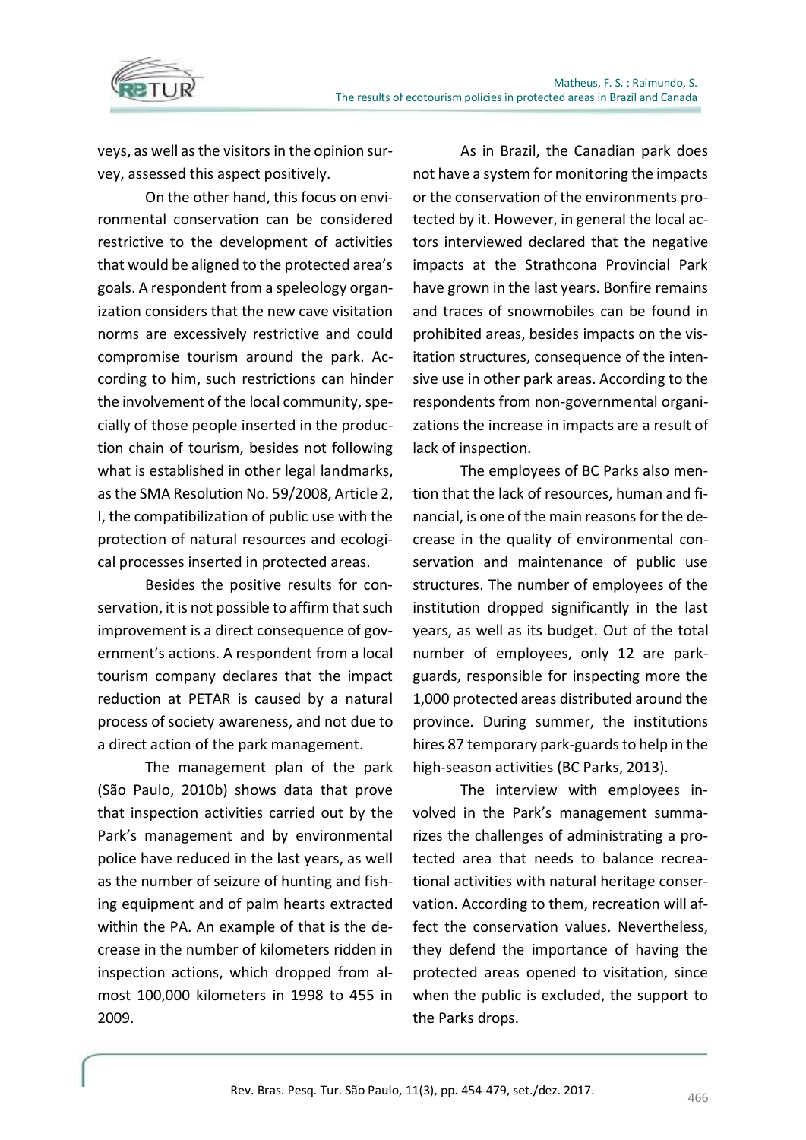



veys, as well as the visitors in the opinion survey, assessed this aspect positively.

On the other hand, this focus on environmental conservation can be considered restrictive to the development of activities that would be aligned to the protected area's goals. A respondent from a speleology organization considers that the new cave visitation norms are excessively restrictive and could compromise tourism around the park. According to him, such restrictions can hinder the involvement of the local community, specially of those people inserted in the production chain of tourism, besides not following what is established in other legal landmarks, as the SMA Resolution No. 59/2008, Article 2, I, the compatibilization of public use with the protection of natural resources and ecological processes inserted in protected areas.

Besides the positive results for conservation, it is not possible to affirm that such improvement is a direct consequence of government's actions. A respondent from a local tourism company declares that the impact reduction at PETAR is caused by a natural process of society awareness, and not due to a direct action of the park management.

The management plan of the park (São Paulo, 2010b) shows data that prove that inspection activities carried out by the Park's management and by environmental police have reduced in the last years, as well as the number of seizure of hunting and fishing equipment and of palm hearts extracted within the PA. An example of that is the decrease in the number of kilometers ridden in inspection actions, which dropped from almost 100,000 kilometers in 1998 to 455 in 2009.

As in Brazil, the Canadian park does not have a system for monitoring the impacts or the conservation of the environments protected by it. However, in general the local actors interviewed declared that the negative impacts at the Strathcona Provincial Park have grown in the last years. Bonfire remains and traces of snowmobiles can be found in prohibited areas, besides impacts on the visitation structures, consequence of the intensive use in other park areas. According to the respondents from non-governmental organizations the increase in impacts are a result of lack of inspection.

The employees of BC Parks also mention that the lack of resources, human and financial, is one of the main reasons for the decrease in the quality of environmental conservation and maintenance of public use structures. The number of employees of the institution dropped significantly in the last years, as well as its budget. Out of the total number of employees, only 12 are parkguards, responsible for inspecting more the 1,000 protected areas distributed around the province. During summer, the institutions hires 87 temporary park-guards to help in the high-season activities (BC Parks, 2013).

The interview with employees involved in the Park's management summarizes the challenges of administrating a protected area that needs to balance recreational activities with natural heritage conservation. According to them, recreation will affect the conservation values. Nevertheless, they defend the importance of having the protected areas opened to visitation, since when the public is excluded, the support to the Parks drops.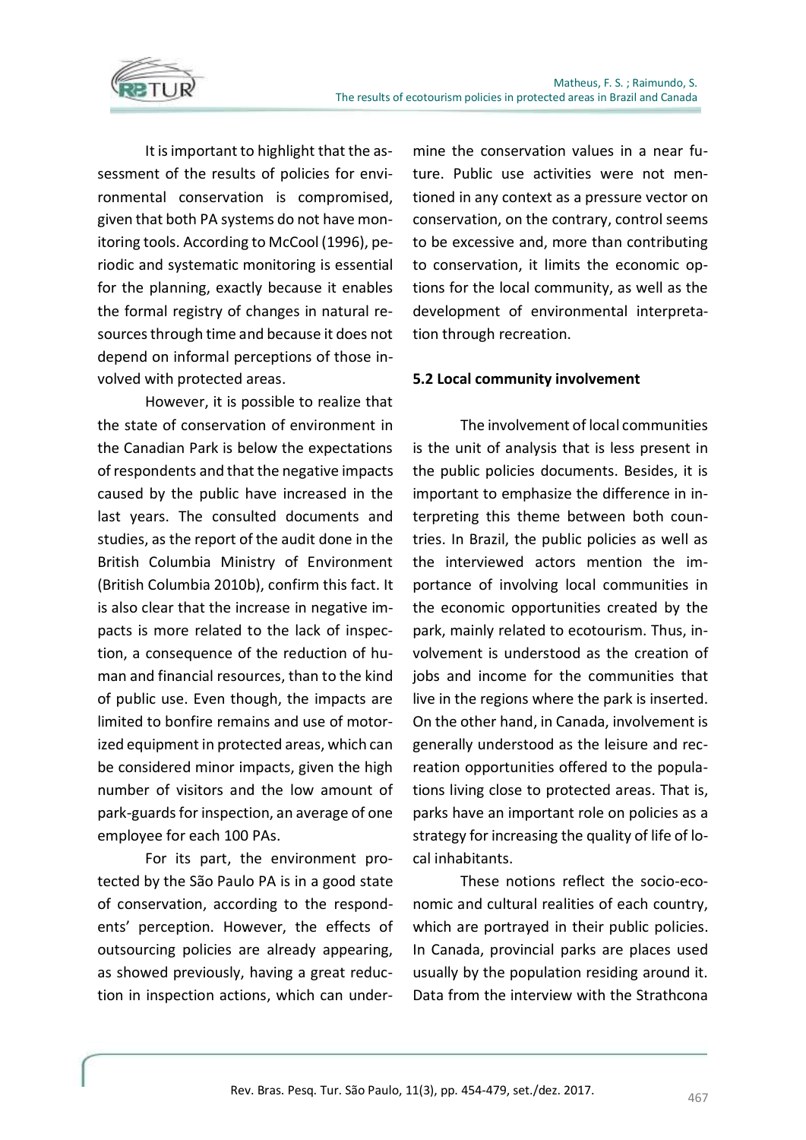

It is important to highlight that the assessment of the results of policies for environmental conservation is compromised, given that both PA systems do not have monitoring tools. According to McCool (1996), periodic and systematic monitoring is essential for the planning, exactly because it enables the formal registry of changes in natural resources through time and because it does not depend on informal perceptions of those involved with protected areas.

However, it is possible to realize that the state of conservation of environment in the Canadian Park is below the expectations of respondents and that the negative impacts caused by the public have increased in the last years. The consulted documents and studies, as the report of the audit done in the British Columbia Ministry of Environment (British Columbia 2010b), confirm this fact. It is also clear that the increase in negative impacts is more related to the lack of inspection, a consequence of the reduction of human and financial resources, than to the kind of public use. Even though, the impacts are limited to bonfire remains and use of motorized equipment in protected areas, which can be considered minor impacts, given the high number of visitors and the low amount of park-guards for inspection, an average of one employee for each 100 PAs.

For its part, the environment protected by the São Paulo PA is in a good state of conservation, according to the respondents' perception. However, the effects of outsourcing policies are already appearing, as showed previously, having a great reduction in inspection actions, which can undermine the conservation values in a near future. Public use activities were not mentioned in any context as a pressure vector on conservation, on the contrary, control seems to be excessive and, more than contributing to conservation, it limits the economic options for the local community, as well as the development of environmental interpretation through recreation.

#### **5.2 Local community involvement**

The involvement of local communities is the unit of analysis that is less present in the public policies documents. Besides, it is important to emphasize the difference in interpreting this theme between both countries. In Brazil, the public policies as well as the interviewed actors mention the importance of involving local communities in the economic opportunities created by the park, mainly related to ecotourism. Thus, involvement is understood as the creation of jobs and income for the communities that live in the regions where the park is inserted. On the other hand, in Canada, involvement is generally understood as the leisure and recreation opportunities offered to the populations living close to protected areas. That is, parks have an important role on policies as a strategy for increasing the quality of life of local inhabitants.

These notions reflect the socio-economic and cultural realities of each country, which are portrayed in their public policies. In Canada, provincial parks are places used usually by the population residing around it. Data from the interview with the Strathcona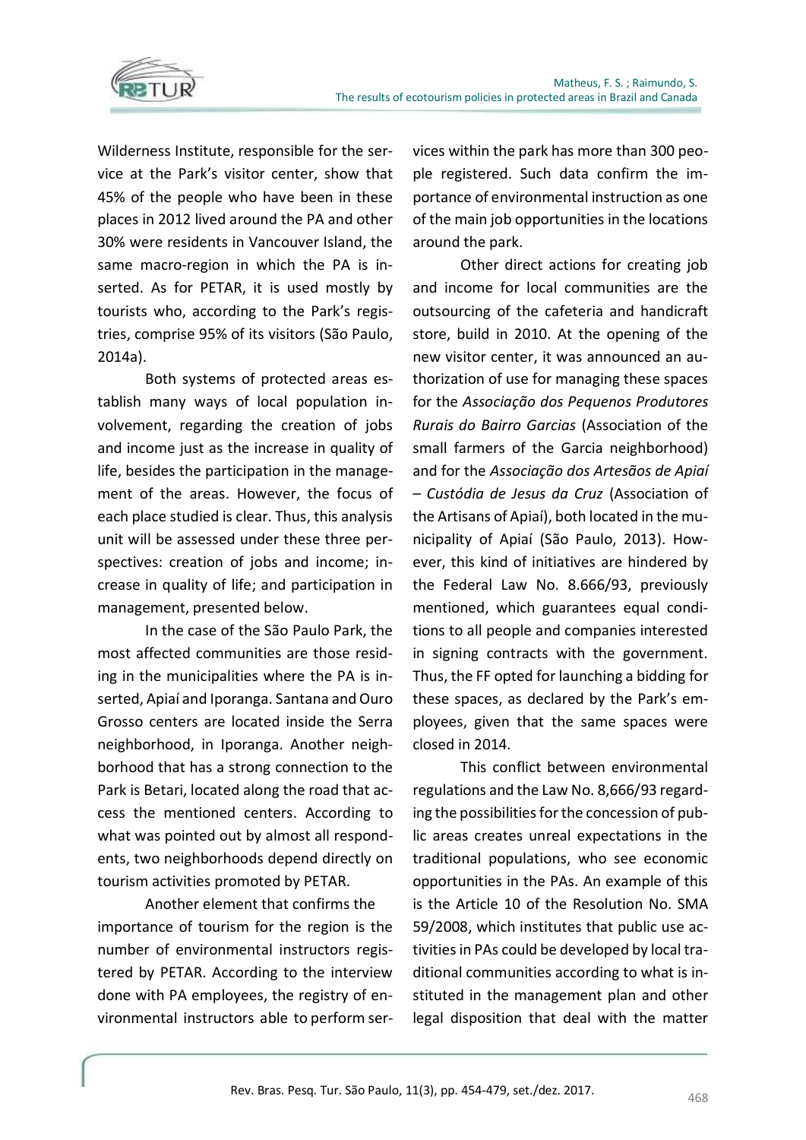

Wilderness Institute, responsible for the service at the Park's visitor center, show that 45% of the people who have been in these places in 2012 lived around the PA and other 30% were residents in Vancouver Island, the same macro-region in which the PA is inserted. As for PETAR, it is used mostly by tourists who, according to the Park's registries, comprise 95% of its visitors (São Paulo, 2014a).

Both systems of protected areas establish many ways of local population involvement, regarding the creation of jobs and income just as the increase in quality of life, besides the participation in the management of the areas. However, the focus of each place studied is clear. Thus, this analysis unit will be assessed under these three perspectives: creation of jobs and income; increase in quality of life; and participation in management, presented below.

In the case of the São Paulo Park, the most affected communities are those residing in the municipalities where the PA is inserted, Apiaí and Iporanga. Santana and Ouro Grosso centers are located inside the Serra neighborhood, in Iporanga. Another neighborhood that has a strong connection to the Park is Betari, located along the road that access the mentioned centers. According to what was pointed out by almost all respondents, two neighborhoods depend directly on tourism activities promoted by PETAR.

Another element that confirms the importance of tourism for the region is the number of environmental instructors registered by PETAR. According to the interview done with PA employees, the registry of environmental instructors able to perform services within the park has more than 300 people registered. Such data confirm the importance of environmental instruction as one of the main job opportunities in the locations around the park.

Other direct actions for creating job and income for local communities are the outsourcing of the cafeteria and handicraft store, build in 2010. At the opening of the new visitor center, it was announced an authorization of use for managing these spaces for the *Associação dos Pequenos Produtores Rurais do Bairro Garcias* (Association of the small farmers of the Garcia neighborhood) and for the *Associação dos Artesãos de Apiaí – Custódia de Jesus da Cruz* (Association of the Artisans of Apiaí), both located in the municipality of Apiaí (São Paulo, 2013). However, this kind of initiatives are hindered by the Federal Law No. 8.666/93, previously mentioned, which guarantees equal conditions to all people and companies interested in signing contracts with the government. Thus, the FF opted for launching a bidding for these spaces, as declared by the Park's employees, given that the same spaces were closed in 2014.

This conflict between environmental regulations and the Law No. 8,666/93 regarding the possibilities for the concession of public areas creates unreal expectations in the traditional populations, who see economic opportunities in the PAs. An example of this is the Article 10 of the Resolution No. SMA 59/2008, which institutes that public use activities in PAs could be developed by local traditional communities according to what is instituted in the management plan and other legal disposition that deal with the matter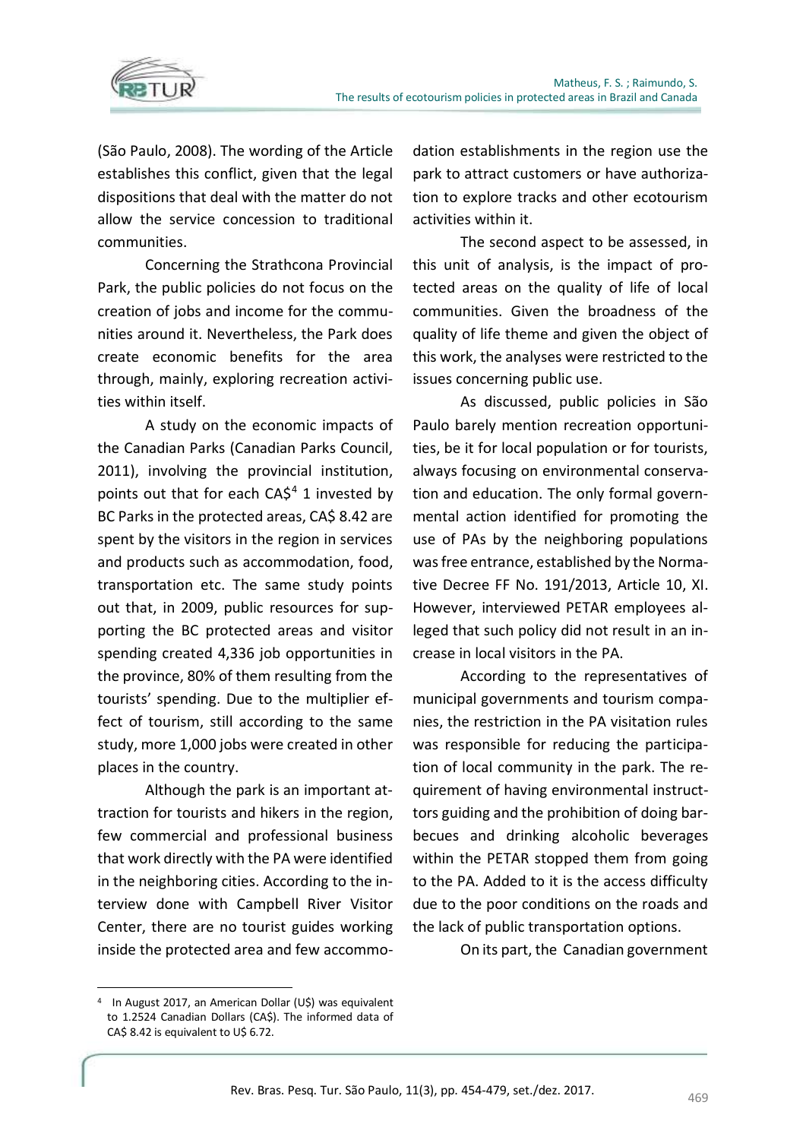

(São Paulo, 2008). The wording of the Article establishes this conflict, given that the legal dispositions that deal with the matter do not allow the service concession to traditional communities.

Concerning the Strathcona Provincial Park, the public policies do not focus on the creation of jobs and income for the communities around it. Nevertheless, the Park does create economic benefits for the area through, mainly, exploring recreation activities within itself.

A study on the economic impacts of the Canadian Parks (Canadian Parks Council, 2011), involving the provincial institution, points out that for each CA\$<sup>4</sup> 1 invested by BC Parks in the protected areas, CA\$ 8.42 are spent by the visitors in the region in services and products such as accommodation, food, transportation etc. The same study points out that, in 2009, public resources for supporting the BC protected areas and visitor spending created 4,336 job opportunities in the province, 80% of them resulting from the tourists' spending. Due to the multiplier effect of tourism, still according to the same study, more 1,000 jobs were created in other places in the country.

Although the park is an important attraction for tourists and hikers in the region, few commercial and professional business that work directly with the PA were identified in the neighboring cities. According to the interview done with Campbell River Visitor Center, there are no tourist guides working inside the protected area and few accommodation establishments in the region use the park to attract customers or have authorization to explore tracks and other ecotourism activities within it.

The second aspect to be assessed, in this unit of analysis, is the impact of protected areas on the quality of life of local communities. Given the broadness of the quality of life theme and given the object of this work, the analyses were restricted to the issues concerning public use.

As discussed, public policies in São Paulo barely mention recreation opportunities, be it for local population or for tourists, always focusing on environmental conservation and education. The only formal governmental action identified for promoting the use of PAs by the neighboring populations was free entrance, established by the Normative Decree FF No. 191/2013, Article 10, XI. However, interviewed PETAR employees alleged that such policy did not result in an increase in local visitors in the PA.

According to the representatives of municipal governments and tourism companies, the restriction in the PA visitation rules was responsible for reducing the participation of local community in the park. The requirement of having environmental instructtors guiding and the prohibition of doing barbecues and drinking alcoholic beverages within the PETAR stopped them from going to the PA. Added to it is the access difficulty due to the poor conditions on the roads and the lack of public transportation options.

On its part, the Canadian government

1

<sup>4</sup> In August 2017, an American Dollar (U\$) was equivalent to 1.2524 Canadian Dollars (CA\$). The informed data of CA\$ 8.42 is equivalent to U\$ 6.72.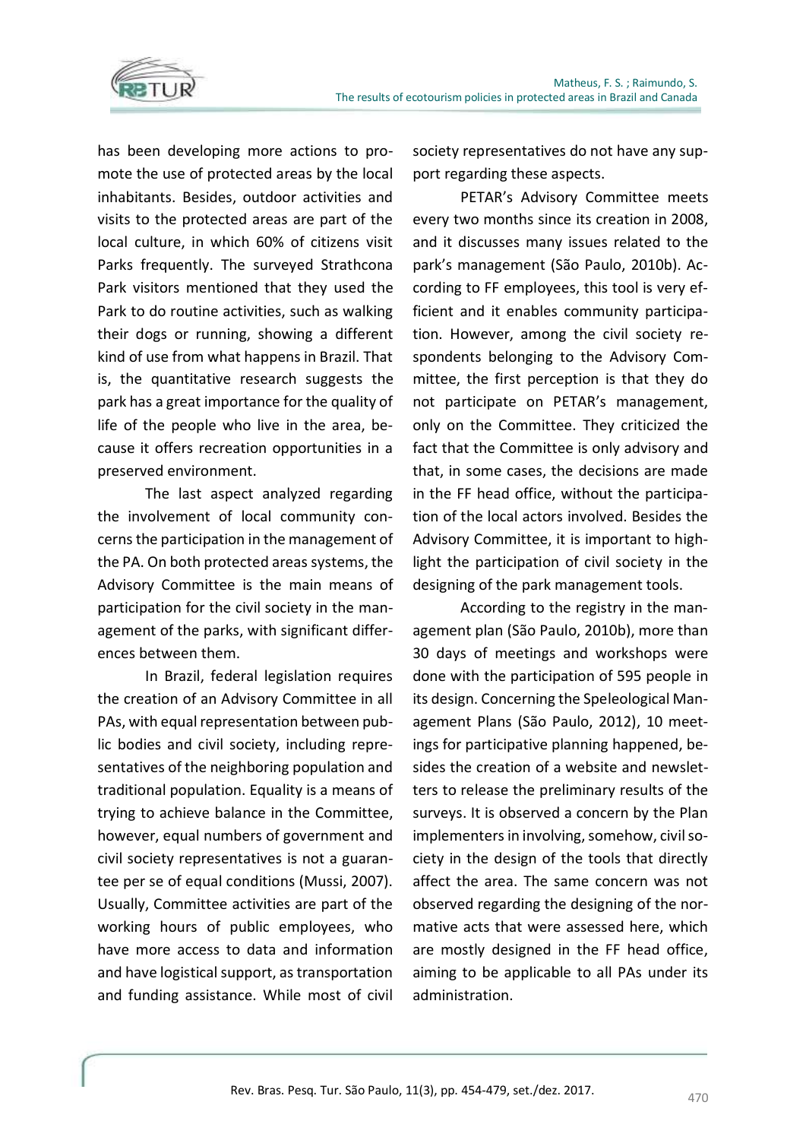



has been developing more actions to promote the use of protected areas by the local inhabitants. Besides, outdoor activities and visits to the protected areas are part of the local culture, in which 60% of citizens visit Parks frequently. The surveyed Strathcona Park visitors mentioned that they used the Park to do routine activities, such as walking their dogs or running, showing a different kind of use from what happens in Brazil. That is, the quantitative research suggests the park has a great importance for the quality of life of the people who live in the area, because it offers recreation opportunities in a preserved environment.

The last aspect analyzed regarding the involvement of local community concerns the participation in the management of the PA. On both protected areas systems, the Advisory Committee is the main means of participation for the civil society in the management of the parks, with significant differences between them.

In Brazil, federal legislation requires the creation of an Advisory Committee in all PAs, with equal representation between public bodies and civil society, including representatives of the neighboring population and traditional population. Equality is a means of trying to achieve balance in the Committee, however, equal numbers of government and civil society representatives is not a guarantee per se of equal conditions (Mussi, 2007). Usually, Committee activities are part of the working hours of public employees, who have more access to data and information and have logistical support, as transportation and funding assistance. While most of civil

society representatives do not have any support regarding these aspects.

PETAR's Advisory Committee meets every two months since its creation in 2008, and it discusses many issues related to the park's management (São Paulo, 2010b). According to FF employees, this tool is very efficient and it enables community participation. However, among the civil society respondents belonging to the Advisory Committee, the first perception is that they do not participate on PETAR's management, only on the Committee. They criticized the fact that the Committee is only advisory and that, in some cases, the decisions are made in the FF head office, without the participation of the local actors involved. Besides the Advisory Committee, it is important to highlight the participation of civil society in the designing of the park management tools.

According to the registry in the management plan (São Paulo, 2010b), more than 30 days of meetings and workshops were done with the participation of 595 people in its design. Concerning the Speleological Management Plans (São Paulo, 2012), 10 meetings for participative planning happened, besides the creation of a website and newsletters to release the preliminary results of the surveys. It is observed a concern by the Plan implementers in involving, somehow, civil society in the design of the tools that directly affect the area. The same concern was not observed regarding the designing of the normative acts that were assessed here, which are mostly designed in the FF head office, aiming to be applicable to all PAs under its administration.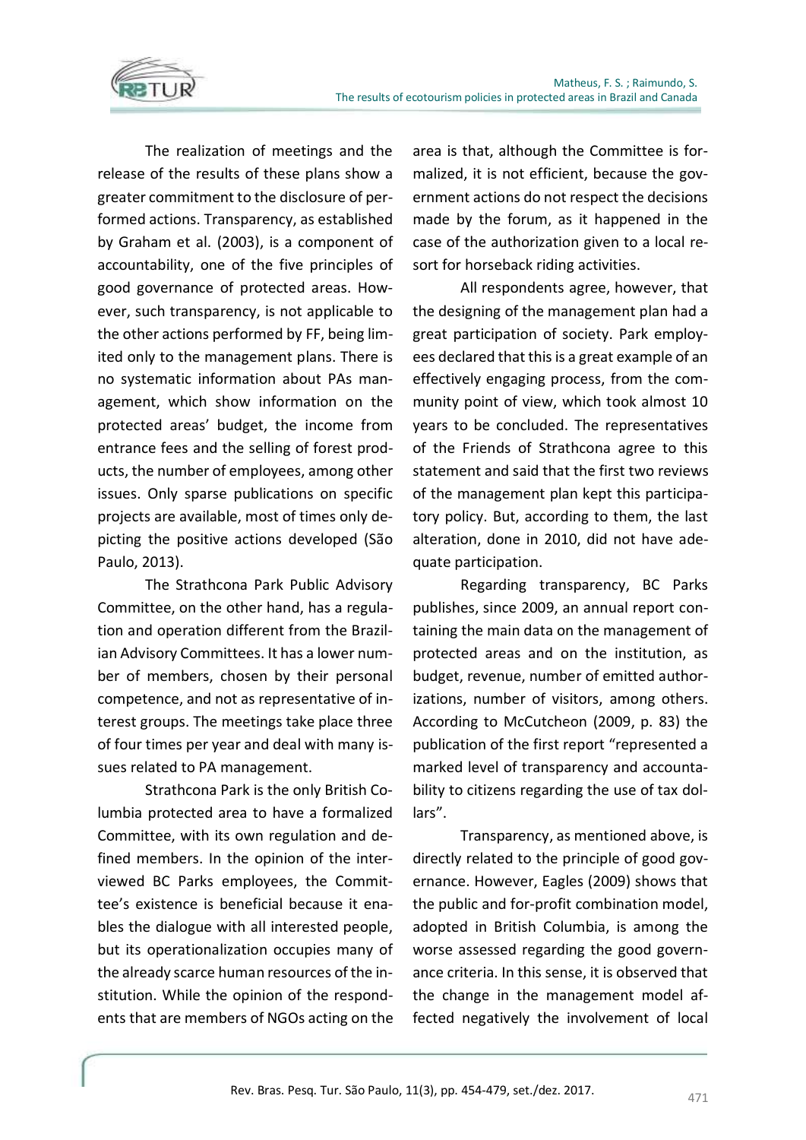

The realization of meetings and the release of the results of these plans show a greater commitment to the disclosure of performed actions. Transparency, as established by Graham et al. (2003), is a component of accountability, one of the five principles of good governance of protected areas. However, such transparency, is not applicable to the other actions performed by FF, being limited only to the management plans. There is no systematic information about PAs management, which show information on the protected areas' budget, the income from entrance fees and the selling of forest products, the number of employees, among other issues. Only sparse publications on specific projects are available, most of times only depicting the positive actions developed (São Paulo, 2013).

The Strathcona Park Public Advisory Committee, on the other hand, has a regulation and operation different from the Brazilian Advisory Committees. It has a lower number of members, chosen by their personal competence, and not as representative of interest groups. The meetings take place three of four times per year and deal with many issues related to PA management.

Strathcona Park is the only British Columbia protected area to have a formalized Committee, with its own regulation and defined members. In the opinion of the interviewed BC Parks employees, the Committee's existence is beneficial because it enables the dialogue with all interested people, but its operationalization occupies many of the already scarce human resources of the institution. While the opinion of the respondents that are members of NGOs acting on the area is that, although the Committee is formalized, it is not efficient, because the government actions do not respect the decisions made by the forum, as it happened in the case of the authorization given to a local resort for horseback riding activities.

All respondents agree, however, that the designing of the management plan had a great participation of society. Park employees declared that this is a great example of an effectively engaging process, from the community point of view, which took almost 10 years to be concluded. The representatives of the Friends of Strathcona agree to this statement and said that the first two reviews of the management plan kept this participatory policy. But, according to them, the last alteration, done in 2010, did not have adequate participation.

Regarding transparency, BC Parks publishes, since 2009, an annual report containing the main data on the management of protected areas and on the institution, as budget, revenue, number of emitted authorizations, number of visitors, among others. According to McCutcheon (2009, p. 83) the publication of the first report "represented a marked level of transparency and accountability to citizens regarding the use of tax dollars".

Transparency, as mentioned above, is directly related to the principle of good governance. However, Eagles (2009) shows that the public and for-profit combination model, adopted in British Columbia, is among the worse assessed regarding the good governance criteria. In this sense, it is observed that the change in the management model affected negatively the involvement of local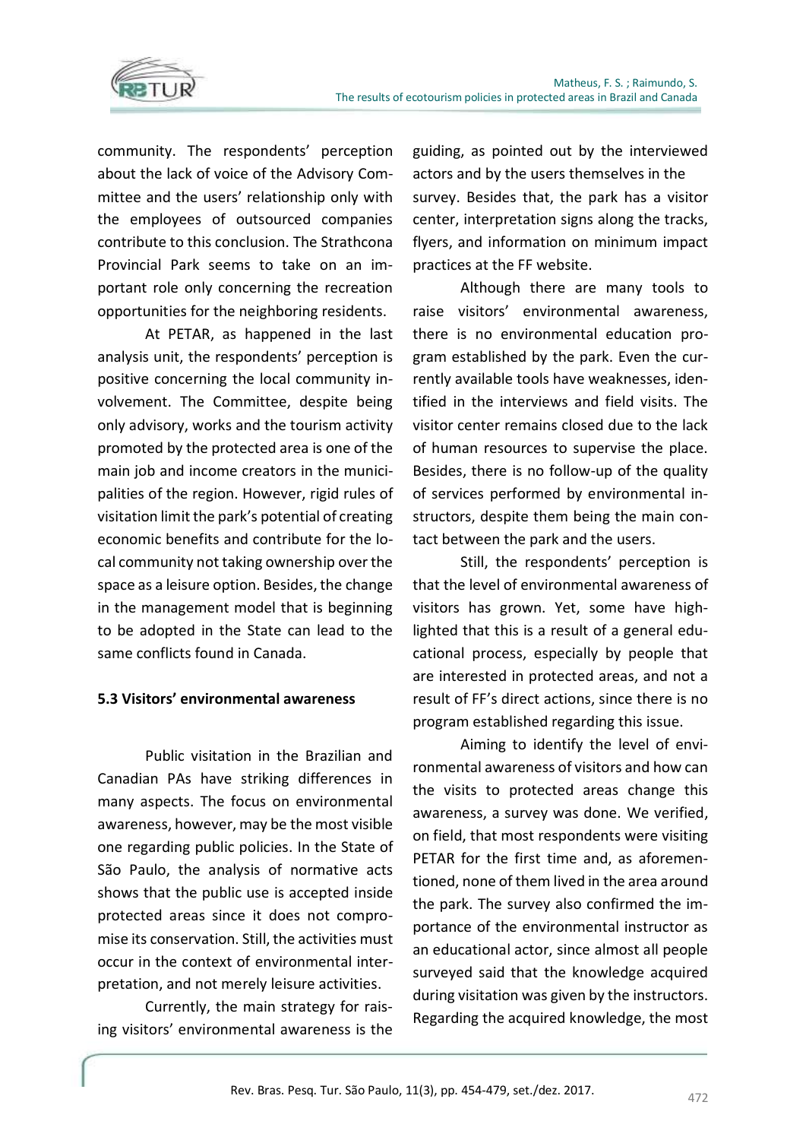

community. The respondents' perception about the lack of voice of the Advisory Committee and the users' relationship only with the employees of outsourced companies contribute to this conclusion. The Strathcona Provincial Park seems to take on an important role only concerning the recreation opportunities for the neighboring residents.

At PETAR, as happened in the last analysis unit, the respondents' perception is positive concerning the local community involvement. The Committee, despite being only advisory, works and the tourism activity promoted by the protected area is one of the main job and income creators in the municipalities of the region. However, rigid rules of visitation limit the park's potential of creating economic benefits and contribute for the local community not taking ownership over the space as a leisure option. Besides, the change in the management model that is beginning to be adopted in the State can lead to the same conflicts found in Canada.

#### **5.3 Visitors' environmental awareness**

Public visitation in the Brazilian and Canadian PAs have striking differences in many aspects. The focus on environmental awareness, however, may be the most visible one regarding public policies. In the State of São Paulo, the analysis of normative acts shows that the public use is accepted inside protected areas since it does not compromise its conservation. Still, the activities must occur in the context of environmental interpretation, and not merely leisure activities.

Currently, the main strategy for raising visitors' environmental awareness is the guiding, as pointed out by the interviewed actors and by the users themselves in the survey. Besides that, the park has a visitor center, interpretation signs along the tracks, flyers, and information on minimum impact practices at the FF website.

Although there are many tools to raise visitors' environmental awareness, there is no environmental education program established by the park. Even the currently available tools have weaknesses, identified in the interviews and field visits. The visitor center remains closed due to the lack of human resources to supervise the place. Besides, there is no follow-up of the quality of services performed by environmental instructors, despite them being the main contact between the park and the users.

Still, the respondents' perception is that the level of environmental awareness of visitors has grown. Yet, some have highlighted that this is a result of a general educational process, especially by people that are interested in protected areas, and not a result of FF's direct actions, since there is no program established regarding this issue.

Aiming to identify the level of environmental awareness of visitors and how can the visits to protected areas change this awareness, a survey was done. We verified, on field, that most respondents were visiting PETAR for the first time and, as aforementioned, none of them lived in the area around the park. The survey also confirmed the importance of the environmental instructor as an educational actor, since almost all people surveyed said that the knowledge acquired during visitation was given by the instructors. Regarding the acquired knowledge, the most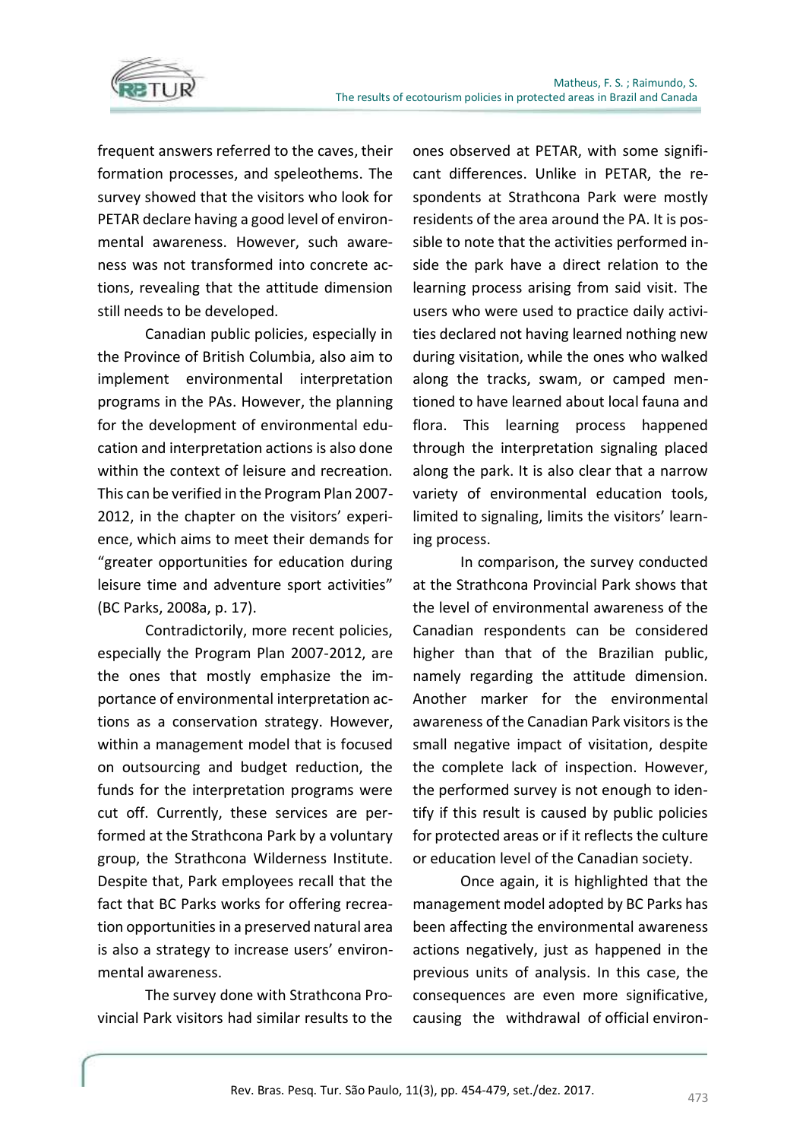

frequent answers referred to the caves, their formation processes, and speleothems. The survey showed that the visitors who look for PETAR declare having a good level of environmental awareness. However, such awareness was not transformed into concrete actions, revealing that the attitude dimension still needs to be developed.

Canadian public policies, especially in the Province of British Columbia, also aim to implement environmental interpretation programs in the PAs. However, the planning for the development of environmental education and interpretation actions is also done within the context of leisure and recreation. This can be verified in the Program Plan 2007- 2012, in the chapter on the visitors' experience, which aims to meet their demands for "greater opportunities for education during leisure time and adventure sport activities" (BC Parks, 2008a, p. 17).

Contradictorily, more recent policies, especially the Program Plan 2007-2012, are the ones that mostly emphasize the importance of environmental interpretation actions as a conservation strategy. However, within a management model that is focused on outsourcing and budget reduction, the funds for the interpretation programs were cut off. Currently, these services are performed at the Strathcona Park by a voluntary group, the Strathcona Wilderness Institute. Despite that, Park employees recall that the fact that BC Parks works for offering recreation opportunities in a preserved natural area is also a strategy to increase users' environmental awareness.

The survey done with Strathcona Provincial Park visitors had similar results to the

ones observed at PETAR, with some significant differences. Unlike in PETAR, the respondents at Strathcona Park were mostly residents of the area around the PA. It is possible to note that the activities performed inside the park have a direct relation to the learning process arising from said visit. The users who were used to practice daily activities declared not having learned nothing new during visitation, while the ones who walked along the tracks, swam, or camped mentioned to have learned about local fauna and flora. This learning process happened through the interpretation signaling placed along the park. It is also clear that a narrow variety of environmental education tools, limited to signaling, limits the visitors' learning process.

In comparison, the survey conducted at the Strathcona Provincial Park shows that the level of environmental awareness of the Canadian respondents can be considered higher than that of the Brazilian public, namely regarding the attitude dimension. Another marker for the environmental awareness of the Canadian Park visitors is the small negative impact of visitation, despite the complete lack of inspection. However, the performed survey is not enough to identify if this result is caused by public policies for protected areas or if it reflects the culture or education level of the Canadian society.

Once again, it is highlighted that the management model adopted by BC Parks has been affecting the environmental awareness actions negatively, just as happened in the previous units of analysis. In this case, the consequences are even more significative, causing the withdrawal of official environ-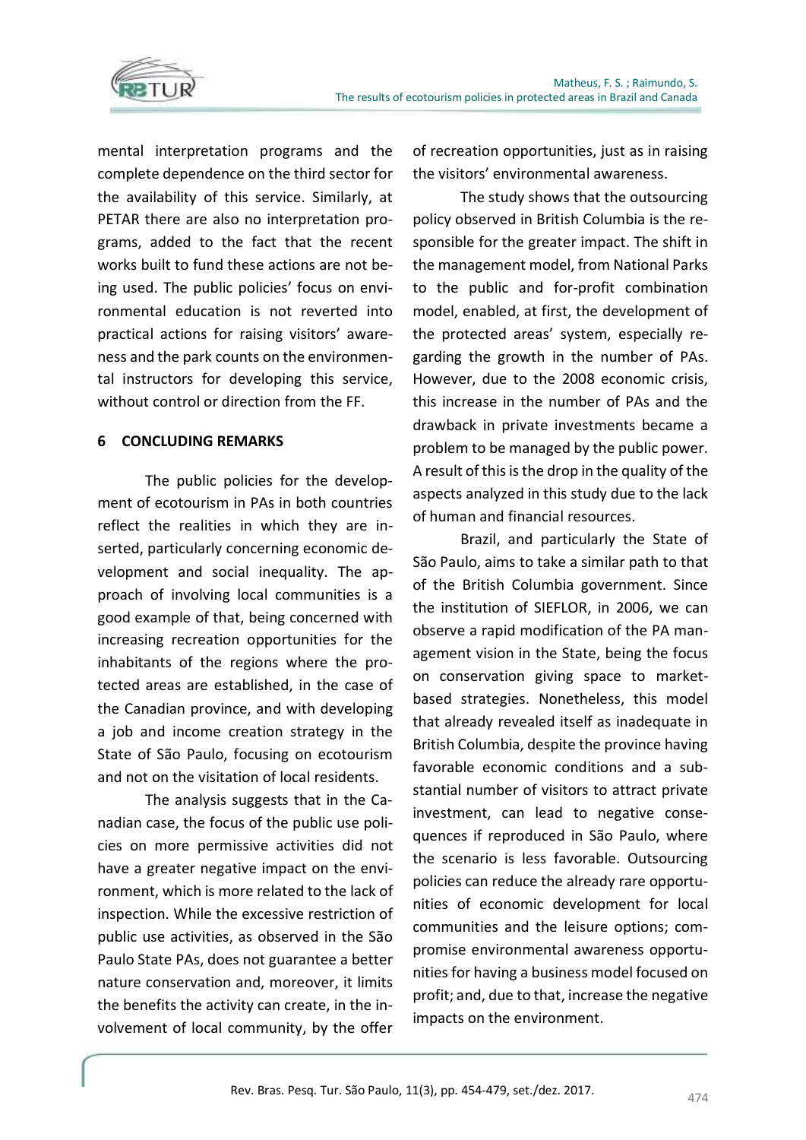



mental interpretation programs and the complete dependence on the third sector for the availability of this service. Similarly, at PETAR there are also no interpretation programs, added to the fact that the recent works built to fund these actions are not being used. The public policies' focus on environmental education is not reverted into practical actions for raising visitors' awareness and the park counts on the environmental instructors for developing this service, without control or direction from the FF.

#### **6 CONCLUDING REMARKS**

The public policies for the development of ecotourism in PAs in both countries reflect the realities in which they are inserted, particularly concerning economic development and social inequality. The approach of involving local communities is a good example of that, being concerned with increasing recreation opportunities for the inhabitants of the regions where the protected areas are established, in the case of the Canadian province, and with developing a job and income creation strategy in the State of São Paulo, focusing on ecotourism and not on the visitation of local residents.

The analysis suggests that in the Canadian case, the focus of the public use policies on more permissive activities did not have a greater negative impact on the environment, which is more related to the lack of inspection. While the excessive restriction of public use activities, as observed in the São Paulo State PAs, does not guarantee a better nature conservation and, moreover, it limits the benefits the activity can create, in the involvement of local community, by the offer

of recreation opportunities, just as in raising the visitors' environmental awareness.

The study shows that the outsourcing policy observed in British Columbia is the responsible for the greater impact. The shift in the management model, from National Parks to the public and for-profit combination model, enabled, at first, the development of the protected areas' system, especially regarding the growth in the number of PAs. However, due to the 2008 economic crisis, this increase in the number of PAs and the drawback in private investments became a problem to be managed by the public power. A result of this is the drop in the quality of the aspects analyzed in this study due to the lack of human and financial resources.

Brazil, and particularly the State of São Paulo, aims to take a similar path to that of the British Columbia government. Since the institution of SIEFLOR, in 2006, we can observe a rapid modification of the PA management vision in the State, being the focus on conservation giving space to marketbased strategies. Nonetheless, this model that already revealed itself as inadequate in British Columbia, despite the province having favorable economic conditions and a substantial number of visitors to attract private investment, can lead to negative consequences if reproduced in São Paulo, where the scenario is less favorable. Outsourcing policies can reduce the already rare opportunities of economic development for local communities and the leisure options; compromise environmental awareness opportunities for having a business model focused on profit; and, due to that, increase the negative impacts on the environment.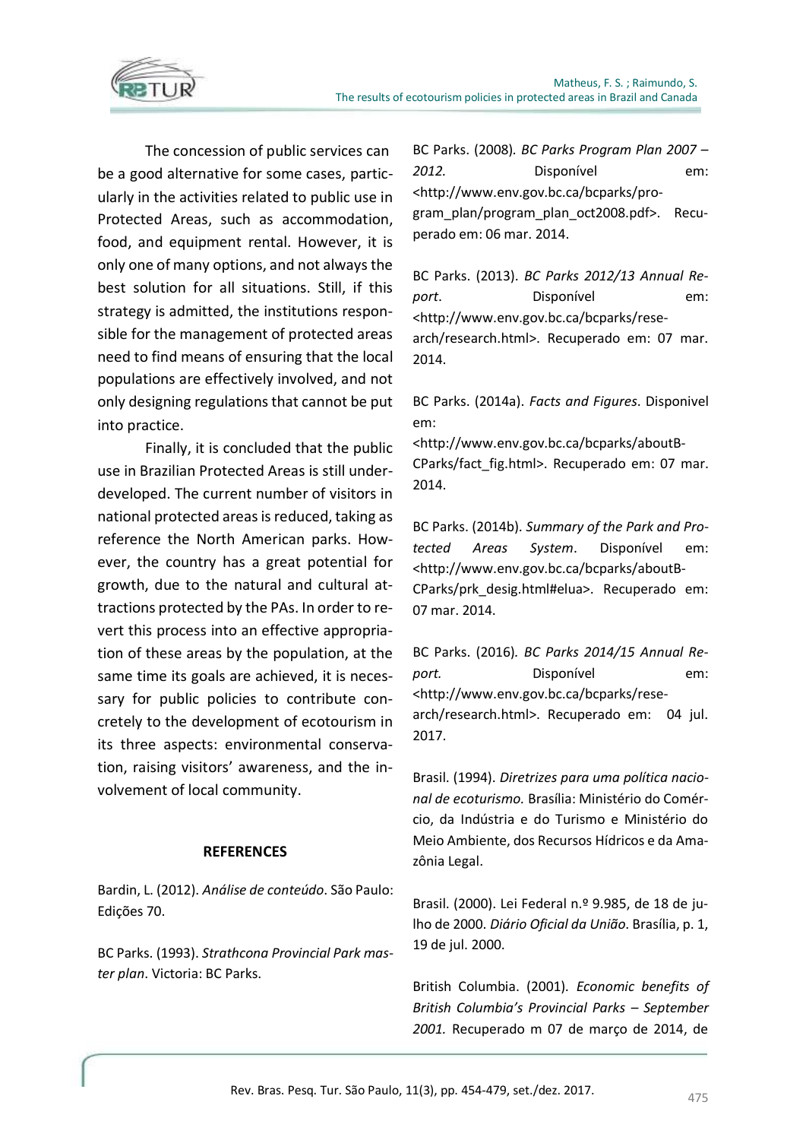

The concession of public services can be a good alternative for some cases, particularly in the activities related to public use in Protected Areas, such as accommodation, food, and equipment rental. However, it is only one of many options, and not always the best solution for all situations. Still, if this strategy is admitted, the institutions responsible for the management of protected areas need to find means of ensuring that the local populations are effectively involved, and not only designing regulations that cannot be put into practice.

Finally, it is concluded that the public use in Brazilian Protected Areas is still underdeveloped. The current number of visitors in national protected areas is reduced, taking as reference the North American parks. However, the country has a great potential for growth, due to the natural and cultural attractions protected by the PAs. In order to revert this process into an effective appropriation of these areas by the population, at the same time its goals are achieved, it is necessary for public policies to contribute concretely to the development of ecotourism in its three aspects: environmental conservation, raising visitors' awareness, and the involvement of local community.

#### **REFERENCES**

Bardin, L. (2012). *Análise de conteúdo*. São Paulo: Edições 70.

BC Parks. (1993). *Strathcona Provincial Park master plan*. Victoria: BC Parks.

BC Parks. (2008)*. BC Parks Program Plan 2007 – 2012.* Disponível em: <http://www.env.gov.bc.ca/bcparks/program\_plan/program\_plan\_oct2008.pdf>. Recuperado em: 06 mar. 2014.

BC Parks. (2013). *BC Parks 2012/13 Annual Report*. Disponível em: <http://www.env.gov.bc.ca/bcparks/research/research.html>. Recuperado em: 07 mar. 2014.

BC Parks. (2014a). *Facts and Figures*. Disponivel em:

<http://www.env.gov.bc.ca/bcparks/aboutB-CParks/fact\_fig.html>. Recuperado em: 07 mar. 2014.

BC Parks. (2014b). *Summary of the Park and Protected Areas System*. Disponível em: <http://www.env.gov.bc.ca/bcparks/aboutB-CParks/prk\_desig.html#elua>. Recuperado em: 07 mar. 2014.

BC Parks. (2016)*. BC Parks 2014/15 Annual Re***port.** Disponível em: <http://www.env.gov.bc.ca/bcparks/research/research.html>. Recuperado em: 04 jul. 2017.

Brasil. (1994). *Diretrizes para uma política nacional de ecoturismo.* Brasília: Ministério do Comércio, da Indústria e do Turismo e Ministério do Meio Ambiente, dos Recursos Hídricos e da Amazônia Legal.

Brasil. (2000). Lei Federal n.º 9.985, de 18 de julho de 2000. *Diário Oficial da União*. Brasília, p. 1, 19 de jul. 2000.

British Columbia. (2001)*. Economic benefits of British Columbia's Provincial Parks – September 2001.* Recuperado m 07 de março de 2014, de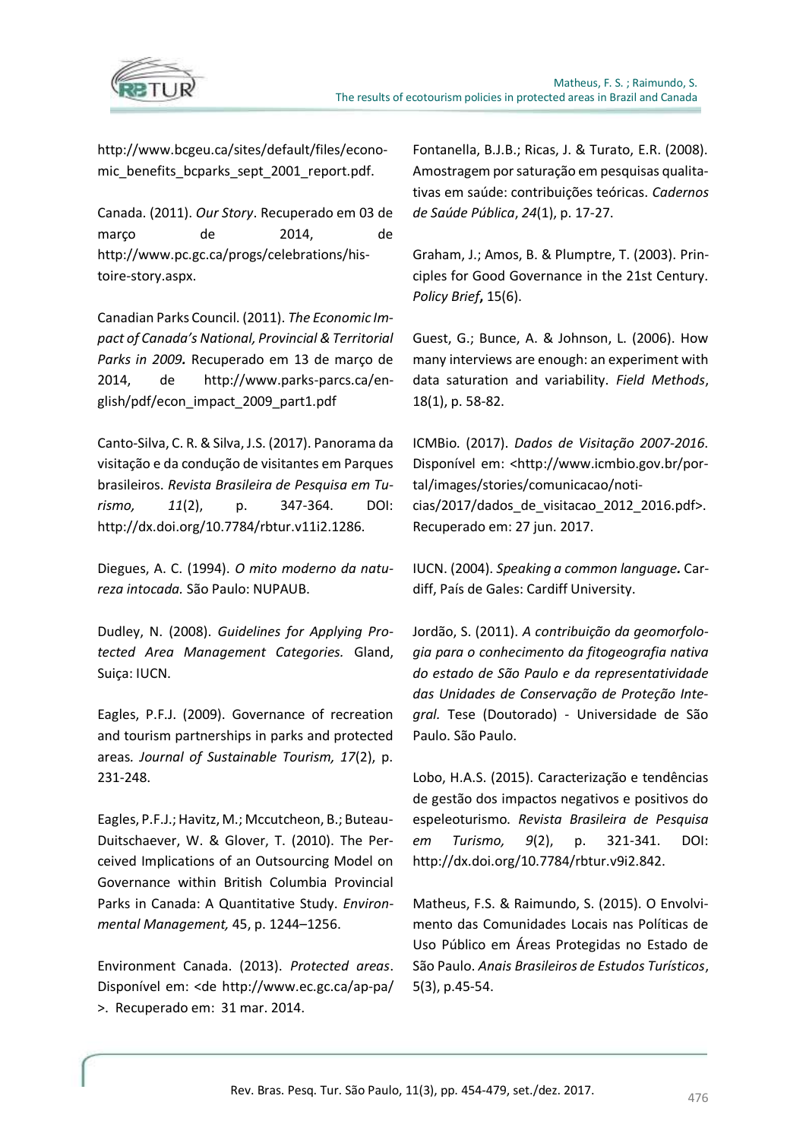

http://www.bcgeu.ca/sites/default/files/economic\_benefits\_bcparks\_sept\_2001\_report.pdf.

Canada. (2011). *Our Story*. Recuperado em 03 de março de 2014, de http://www.pc.gc.ca/progs/celebrations/histoire-story.aspx.

Canadian Parks Council. (2011). *The Economic Impact of Canada's National, Provincial & Territorial Parks in 2009.* Recuperado em 13 de março de 2014, de http://www.parks-parcs.ca/english/pdf/econ\_impact\_2009\_part1.pdf

Canto-Silva, C. R. & Silva, J.S. (2017). Panorama da visitação e da condução de visitantes em Parques brasileiros. *Revista Brasileira de Pesquisa em Turismo, 11*(2), p. 347-364. DOI: http://dx.doi.org/10.7784/rbtur.v11i2.1286.

Diegues, A. C. (1994). *O mito moderno da natureza intocada.* São Paulo: NUPAUB.

Dudley, N. (2008). *Guidelines for Applying Protected Area Management Categories.* Gland, Suiça: IUCN.

Eagles, P.F.J. (2009). Governance of recreation and tourism partnerships in parks and protected areas*. Journal of Sustainable Tourism, 17*(2), p. 231-248.

Eagles, P.F.J.; Havitz, M.; Mccutcheon, B.; Buteau-Duitschaever, W. & Glover, T. (2010). The Perceived Implications of an Outsourcing Model on Governance within British Columbia Provincial Parks in Canada: A Quantitative Study. *Environmental Management,* 45, p. 1244–1256.

Environment Canada. (2013). *Protected areas*. Disponível em: <de http://www.ec.gc.ca/ap-pa/ >. Recuperado em: 31 mar. 2014.

Fontanella, B.J.B.; Ricas, J. & Turato, E.R. (2008). Amostragem por saturação em pesquisas qualitativas em saúde: contribuições teóricas. *Cadernos de Saúde Pública*, *24*(1), p. 17-27.

Graham, J.; Amos, B. & Plumptre, T. (2003). Principles for Good Governance in the 21st Century. *Policy Brief***,** 15(6).

Guest, G.; Bunce, A. & Johnson, L. (2006). How many interviews are enough: an experiment with data saturation and variability. *Field Methods*, 18(1), p. 58-82.

ICMBio. (2017). *Dados de Visitação 2007-2016*. Disponível em: <http://www.icmbio.gov.br/portal/images/stories/comunicacao/noticias/2017/dados\_de\_visitacao\_2012\_2016.pdf>. Recuperado em: 27 jun. 2017.

IUCN. (2004). *Speaking a common language.* Cardiff, País de Gales: Cardiff University.

Jordão, S. (2011). *A contribuição da geomorfologia para o conhecimento da fitogeografia nativa do estado de São Paulo e da representatividade das Unidades de Conservação de Proteção Integral.* Tese (Doutorado) - Universidade de São Paulo. São Paulo.

Lobo, H.A.S. (2015). Caracterização e tendências de gestão dos impactos negativos e positivos do espeleoturismo. *Revista Brasileira de Pesquisa em Turismo, 9*(2), p. 321-341. DOI: http://dx.doi.org/10.7784/rbtur.v9i2.842.

Matheus, F.S. & Raimundo, S. (2015). O Envolvimento das Comunidades Locais nas Políticas de Uso Público em Áreas Protegidas no Estado de São Paulo. *Anais Brasileiros de Estudos Turísticos*, 5(3), p.45-54.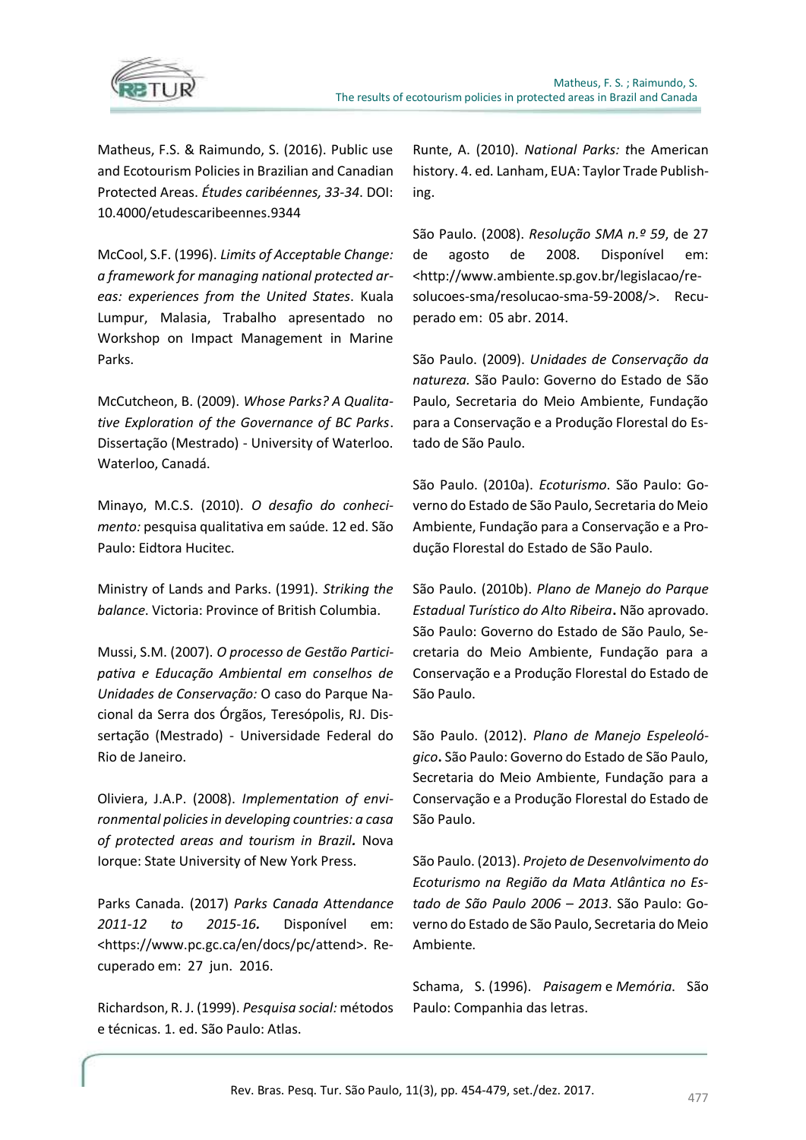

Matheus, F.S. & Raimundo, S. (2016). Public use and Ecotourism Policies in Brazilian and Canadian Protected Areas. *Études caribéennes, 33-34*. DOI: 10.4000/etudescaribeennes.9344

McCool, S.F. (1996). *Limits of Acceptable Change: a framework for managing national protected areas: experiences from the United States*. Kuala Lumpur, Malasia, Trabalho apresentado no Workshop on Impact Management in Marine Parks.

McCutcheon, B. (2009). *Whose Parks? A Qualitative Exploration of the Governance of BC Parks*. Dissertação (Mestrado) - University of Waterloo. Waterloo, Canadá.

Minayo, M.C.S. (2010). *O desafio do conhecimento:* pesquisa qualitativa em saúde. 12 ed. São Paulo: Eidtora Hucitec.

Ministry of Lands and Parks. (1991). *Striking the balance*. Victoria: Province of British Columbia.

Mussi, S.M. (2007). *O processo de Gestão Participativa e Educação Ambiental em conselhos de Unidades de Conservação:* O caso do Parque Nacional da Serra dos Órgãos, Teresópolis, RJ. Dissertação (Mestrado) - Universidade Federal do Rio de Janeiro.

Oliviera, J.A.P. (2008). *Implementation of environmental policies in developing countries: a casa of protected areas and tourism in Brazil.* Nova Iorque: State University of New York Press.

Parks Canada. (2017) *Parks Canada Attendance 2011-12 to 2015-16.* Disponível em: <https://www.pc.gc.ca/en/docs/pc/attend>. Recuperado em: 27 jun. 2016.

Richardson, R. J. (1999). *Pesquisa social:* métodos e técnicas. 1. ed. São Paulo: Atlas.

Runte, A. (2010). *National Parks: t*he American history. 4. ed. Lanham, EUA: Taylor Trade Publishing.

São Paulo. (2008). *Resolução SMA n.º 59*, de 27 de agosto de 2008. Disponível em: <http://www.ambiente.sp.gov.br/legislacao/resolucoes-sma/resolucao-sma-59-2008/>. Recuperado em: 05 abr. 2014.

São Paulo. (2009). *Unidades de Conservação da natureza.* São Paulo: Governo do Estado de São Paulo, Secretaria do Meio Ambiente, Fundação para a Conservação e a Produção Florestal do Estado de São Paulo.

São Paulo. (2010a). *Ecoturismo*. São Paulo: Governo do Estado de São Paulo, Secretaria do Meio Ambiente, Fundação para a Conservação e a Produção Florestal do Estado de São Paulo.

São Paulo. (2010b). *Plano de Manejo do Parque Estadual Turístico do Alto Ribeira***.** Não aprovado. São Paulo: Governo do Estado de São Paulo, Secretaria do Meio Ambiente, Fundação para a Conservação e a Produção Florestal do Estado de São Paulo.

São Paulo. (2012). *Plano de Manejo Espeleológico***.** São Paulo: Governo do Estado de São Paulo, Secretaria do Meio Ambiente, Fundação para a Conservação e a Produção Florestal do Estado de São Paulo.

São Paulo. (2013). *Projeto de Desenvolvimento do Ecoturismo na Região da Mata Atlântica no Estado de São Paulo 2006 – 2013*. São Paulo: Governo do Estado de São Paulo, Secretaria do Meio Ambiente.

Schama, S. (1996). *Paisagem* e *Memória*. São Paulo: Companhia das letras.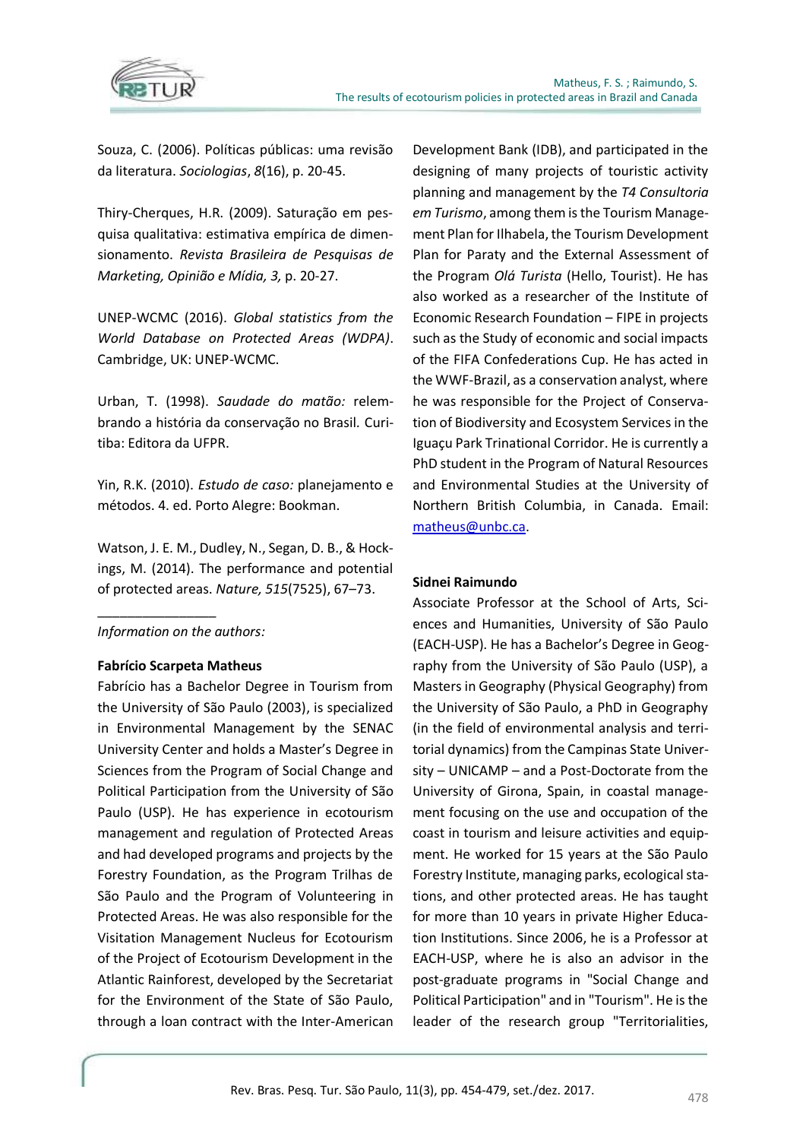

Souza, C. (2006). Políticas públicas: uma revisão da literatura. *Sociologias*, *8*(16), p. 20-45.

Thiry-Cherques, H.R. (2009). Saturação em pesquisa qualitativa: estimativa empírica de dimensionamento. *Revista Brasileira de Pesquisas de Marketing, Opinião e Mídia, 3,* p. 20-27.

UNEP-WCMC (2016). *Global statistics from the World Database on Protected Areas (WDPA)*. Cambridge, UK: UNEP-WCMC.

Urban, T. (1998). *Saudade do matão:* relembrando a história da conservação no Brasil*.* Curitiba: Editora da UFPR.

Yin, R.K. (2010). *Estudo de caso:* planejamento e métodos. 4. ed. Porto Alegre: Bookman.

Watson, J. E. M., Dudley, N., Segan, D. B., & Hockings, M. (2014). The performance and potential of protected areas. *Nature, 515*(7525), 67–73.

#### *Information on the authors:*

\_\_\_\_\_\_\_\_\_\_\_\_\_\_\_\_

#### **Fabrício Scarpeta Matheus**

Fabrício has a Bachelor Degree in Tourism from the University of São Paulo (2003), is specialized in Environmental Management by the SENAC University Center and holds a Master's Degree in Sciences from the Program of Social Change and Political Participation from the University of São Paulo (USP). He has experience in ecotourism management and regulation of Protected Areas and had developed programs and projects by the Forestry Foundation, as the Program Trilhas de São Paulo and the Program of Volunteering in Protected Areas. He was also responsible for the Visitation Management Nucleus for Ecotourism of the Project of Ecotourism Development in the Atlantic Rainforest, developed by the Secretariat for the Environment of the State of São Paulo, through a loan contract with the Inter-American

Development Bank (IDB), and participated in the designing of many projects of touristic activity planning and management by the *T4 Consultoria em Turismo*, among them is the Tourism Management Plan for Ilhabela, the Tourism Development Plan for Paraty and the External Assessment of the Program *Olá Turista* (Hello, Tourist). He has also worked as a researcher of the Institute of Economic Research Foundation – FIPE in projects such as the Study of economic and social impacts of the FIFA Confederations Cup. He has acted in the WWF-Brazil, as a conservation analyst, where he was responsible for the Project of Conservation of Biodiversity and Ecosystem Services in the Iguaçu Park Trinational Corridor. He is currently a PhD student in the Program of Natural Resources and Environmental Studies at the University of Northern British Columbia, in Canada. Email: [matheus@unbc.ca.](mailto:matheus@unbc.ca)

#### **Sidnei Raimundo**

Associate Professor at the School of Arts, Sciences and Humanities, University of São Paulo (EACH-USP). He has a Bachelor's Degree in Geography from the University of São Paulo (USP), a Masters in Geography (Physical Geography) from the University of São Paulo, a PhD in Geography (in the field of environmental analysis and territorial dynamics) from the Campinas State University – UNICAMP – and a Post-Doctorate from the University of Girona, Spain, in coastal management focusing on the use and occupation of the coast in tourism and leisure activities and equipment. He worked for 15 years at the São Paulo Forestry Institute, managing parks, ecological stations, and other protected areas. He has taught for more than 10 years in private Higher Education Institutions. Since 2006, he is a Professor at EACH-USP, where he is also an advisor in the post-graduate programs in "Social Change and Political Participation" and in "Tourism". He is the leader of the research group "Territorialities,